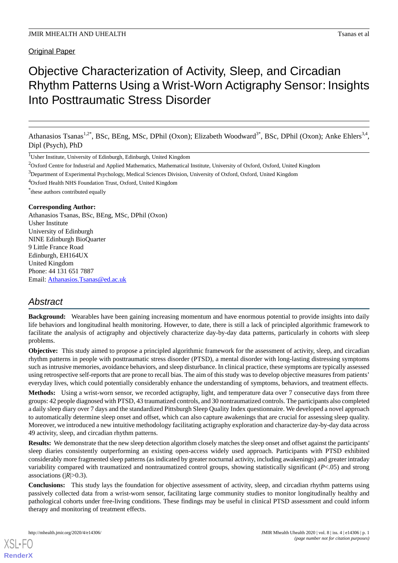Original Paper

# Objective Characterization of Activity, Sleep, and Circadian Rhythm Patterns Using a Wrist-Worn Actigraphy Sensor: Insights Into Posttraumatic Stress Disorder

Athanasios Tsanas<sup>1,2\*</sup>, BSc, BEng, MSc, DPhil (Oxon); Elizabeth Woodward<sup>3\*</sup>, BSc, DPhil (Oxon); Anke Ehlers<sup>3,4</sup>, Dipl (Psych), PhD

<sup>1</sup>Usher Institute, University of Edinburgh, Edinburgh, United Kingdom

<sup>2</sup>Oxford Centre for Industrial and Applied Mathematics, Mathematical Institute, University of Oxford, Oxford, United Kingdom

<sup>4</sup>Oxford Health NHS Foundation Trust, Oxford, United Kingdom

\* these authors contributed equally

## **Corresponding Author:**

Athanasios Tsanas, BSc, BEng, MSc, DPhil (Oxon) Usher Institute University of Edinburgh NINE Edinburgh BioQuarter 9 Little France Road Edinburgh, EH164UX United Kingdom Phone: 44 131 651 7887 Email: [Athanasios.Tsanas@ed.ac.uk](mailto:Athanasios.Tsanas@ed.ac.uk)

## *Abstract*

**Background:** Wearables have been gaining increasing momentum and have enormous potential to provide insights into daily life behaviors and longitudinal health monitoring. However, to date, there is still a lack of principled algorithmic framework to facilitate the analysis of actigraphy and objectively characterize day-by-day data patterns, particularly in cohorts with sleep problems.

**Objective:** This study aimed to propose a principled algorithmic framework for the assessment of activity, sleep, and circadian rhythm patterns in people with posttraumatic stress disorder (PTSD), a mental disorder with long-lasting distressing symptoms such as intrusive memories, avoidance behaviors, and sleep disturbance. In clinical practice, these symptoms are typically assessed using retrospective self-reports that are prone to recall bias. The aim of this study was to develop objective measures from patients' everyday lives, which could potentially considerably enhance the understanding of symptoms, behaviors, and treatment effects.

**Methods:** Using a wrist-worn sensor, we recorded actigraphy, light, and temperature data over 7 consecutive days from three groups: 42 people diagnosed with PTSD, 43 traumatized controls, and 30 nontraumatized controls. The participants also completed a daily sleep diary over 7 days and the standardized Pittsburgh Sleep Quality Index questionnaire. We developed a novel approach to automatically determine sleep onset and offset, which can also capture awakenings that are crucial for assessing sleep quality. Moreover, we introduced a new intuitive methodology facilitating actigraphy exploration and characterize day-by-day data across 49 activity, sleep, and circadian rhythm patterns.

**Results:** We demonstrate that the new sleep detection algorithm closely matches the sleep onset and offset against the participants' sleep diaries consistently outperforming an existing open-access widely used approach. Participants with PTSD exhibited considerably more fragmented sleep patterns (as indicated by greater nocturnal activity, including awakenings) and greater intraday variability compared with traumatized and nontraumatized control groups, showing statistically significant (*P*<.05) and strong associations (|*R*|>0.3).

**Conclusions:** This study lays the foundation for objective assessment of activity, sleep, and circadian rhythm patterns using passively collected data from a wrist-worn sensor, facilitating large community studies to monitor longitudinally healthy and pathological cohorts under free-living conditions. These findings may be useful in clinical PTSD assessment and could inform therapy and monitoring of treatment effects.

<sup>3</sup>Department of Experimental Psychology, Medical Sciences Division, University of Oxford, Oxford, United Kingdom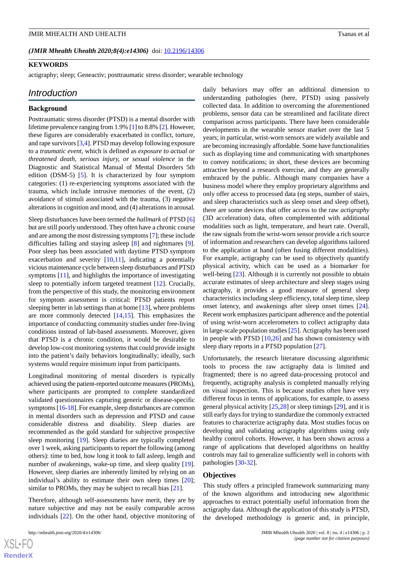*(JMIR Mhealth Uhealth 2020;8(4):e14306)* doi:  $10.2196/14306$ 

## **KEYWORDS**

actigraphy; sleep; Geneactiv; posttraumatic stress disorder; wearable technology

#### *Introduction*

#### **Background**

Posttraumatic stress disorder (PTSD) is a mental disorder with lifetime prevalence ranging from 1.9% [[1\]](#page-15-0) to 8.8% [[2\]](#page-16-0). However, these figures are considerably exacerbated in conflict, torture, and rape survivors [[3,](#page-16-1)[4](#page-16-2)]. PTSD may develop following exposure to a *traumatic event*, which is defined as *exposure to actual or threatened death, serious injury, or sexual violence* in the Diagnostic and Statistical Manual of Mental Disorders 5th edition (DSM-5) [\[5](#page-16-3)]. It is characterized by four symptom categories: (1) re-experiencing symptoms associated with the trauma, which include intrusive memories of the event, (2) avoidance of stimuli associated with the trauma, (3) negative alterations in cognition and mood, and (4) alterations in arousal.

Sleep disturbances have been termed the *hallmark* of PTSD [\[6](#page-16-4)] but are still poorly understood. They often have a chronic course and are among the most distressing symptoms [\[7](#page-16-5)]; these include difficulties falling and staying asleep [\[8](#page-16-6)] and nightmares [[9\]](#page-16-7). Poor sleep has been associated with daytime PTSD symptom exacerbation and severity [\[10](#page-16-8),[11\]](#page-16-9), indicating a potentially vicious maintenance cycle between sleep disturbances and PTSD symptoms [[11\]](#page-16-9), and highlights the importance of investigating sleep to potentially inform targeted treatment [[12\]](#page-16-10). Crucially, from the perspective of this study, the monitoring environment for symptom assessment is critical: PTSD patients report sleeping better in lab settings than at home [[13](#page-16-11)], where problems are more commonly detected [\[14](#page-16-12),[15\]](#page-16-13). This emphasizes the importance of conducting community studies under free-living conditions instead of lab-based assessments. Moreover, given that PTSD is a chronic condition, it would be desirable to develop low-cost monitoring systems that could provide insight into the patient's daily behaviors longitudinally; ideally, such systems would require minimum input from participants.

Longitudinal monitoring of mental disorders is typically achieved using the patient-reported outcome measures (PROMs), where participants are prompted to complete standardized validated questionnaires capturing generic or disease-specific symptoms [\[16-](#page-16-14)[18\]](#page-16-15). For example, sleep disturbances are common in mental disorders such as depression and PTSD and cause considerable distress and disability. Sleep diaries are recommended as the gold standard for subjective prospective sleep monitoring [[19\]](#page-16-16). Sleep diaries are typically completed over 1 week, asking participants to report the following (among others): time to bed, how long it took to fall asleep, length and number of awakenings, wake-up time, and sleep quality [[19\]](#page-16-16). However, sleep diaries are inherently limited by relying on an individual's ability to estimate their own sleep times [[20\]](#page-16-17); similar to PROMs, they may be subject to recall bias [[21\]](#page-16-18).

Therefore, although self-assessments have merit, they are by nature subjective and may not be easily comparable across individuals [[22\]](#page-16-19). On the other hand, objective monitoring of

daily behaviors may offer an additional dimension to understanding pathologies (here, PTSD) using passively collected data. In addition to overcoming the aforementioned problems, sensor data can be streamlined and facilitate direct comparison across participants. There have been considerable developments in the wearable sensor market over the last 5 years; in particular, wrist-worn sensors are widely available and are becoming increasingly affordable. Some have functionalities such as displaying time and communicating with smartphones to convey notifications; in short, these devices are becoming attractive beyond a research exercise, and they are generally embraced by the public. Although many companies have a business model where they employ proprietary algorithms and only offer access to processed data (eg steps, number of stairs, and sleep characteristics such as sleep onset and sleep offset), there are some devices that offer access to the raw *actigraphy* (3D acceleration) data, often complemented with additional modalities such as light, temperature, and heart rate. Overall, the raw signals from the wrist-worn sensor provide a rich source of information and researchers can develop algorithms tailored to the application at hand (often fusing different modalities). For example, actigraphy can be used to objectively quantify physical activity, which can be used as a biomarker for well-being [\[23](#page-17-0)]. Although it is currently not possible to obtain accurate estimates of sleep architecture and sleep stages using actigraphy, it provides a good measure of general sleep characteristics including sleep efficiency, total sleep time, sleep onset latency, and awakenings after sleep onset times [[24\]](#page-17-1). Recent work emphasizes participant adherence and the potential of using wrist-worn accelerometers to collect actigraphy data in large-scale population studies [[25\]](#page-17-2). Actigraphy has been used in people with PTSD [[10](#page-16-8)[,26](#page-17-3)] and has shown consistency with sleep diary reports in a PTSD population [[27\]](#page-17-4).

Unfortunately, the research literature discussing algorithmic tools to process the raw actigraphy data is limited and fragmented; there is no agreed data-processing protocol and frequently, actigraphy analysis is completed manually relying on visual inspection. This is because studies often have very different focus in terms of applications, for example, to assess general physical activity [\[25](#page-17-2),[28\]](#page-17-5) or sleep timings [\[29](#page-17-6)], and it is still early days for trying to standardize the commonly extracted features to characterize actigraphy data. Most studies focus on developing and validating actigraphy algorithms using only healthy control cohorts. However, it has been shown across a range of applications that developed algorithms on healthy controls may fail to generalize sufficiently well in cohorts with pathologies [[30-](#page-17-7)[32\]](#page-17-8).

#### **Objectives**

This study offers a principled framework summarizing many of the known algorithms and introducing new algorithmic approaches to extract potentially useful information from the actigraphy data. Although the application of this study is PTSD, the developed methodology is generic and, in principle,

 $XS$  $\cdot$ FC **[RenderX](http://www.renderx.com/)**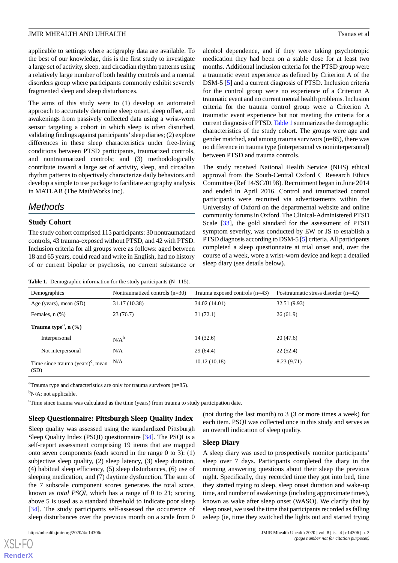applicable to settings where actigraphy data are available. To the best of our knowledge, this is the first study to investigate a large set of activity, sleep, and circadian rhythm patterns using a relatively large number of both healthy controls and a mental disorders group where participants commonly exhibit severely fragmented sleep and sleep disturbances.

The aims of this study were to (1) develop an automated approach to accurately determine sleep onset, sleep offset, and awakenings from passively collected data using a wrist-worn sensor targeting a cohort in which sleep is often disturbed, validating findings against participants'sleep diaries; (2) explore differences in these sleep characteristics under free-living conditions between PTSD participants, traumatized controls, and nontraumatized controls; and (3) methodologically contribute toward a large set of activity, sleep, and circadian rhythm patterns to objectively characterize daily behaviors and develop a simple to use package to facilitate actigraphy analysis in MATLAB (The MathWorks Inc).

## *Methods*

## **Study Cohort**

<span id="page-2-0"></span>The study cohort comprised 115 participants: 30 nontraumatized controls, 43 trauma-exposed without PTSD, and 42 with PTSD. Inclusion criteria for all groups were as follows: aged between 18 and 65 years, could read and write in English, had no history of or current bipolar or psychosis, no current substance or

Table 1. Demographic information for the study participants (N=115).

alcohol dependence, and if they were taking psychotropic medication they had been on a stable dose for at least two months. Additional inclusion criteria for the PTSD group were a traumatic event experience as defined by Criterion A of the DSM-5 [\[5](#page-16-3)] and a current diagnosis of PTSD. Inclusion criteria for the control group were no experience of a Criterion A traumatic event and no current mental health problems. Inclusion criteria for the trauma control group were a Criterion A traumatic event experience but not meeting the criteria for a current diagnosis of PTSD. [Table 1](#page-2-0) summarizes the demographic characteristics of the study cohort. The groups were age and gender matched, and among trauma survivors (n=85), there was no difference in trauma type (interpersonal vs noninterpersonal) between PTSD and trauma controls.

The study received National Health Service (NHS) ethical approval from the South-Central Oxford C Research Ethics Committee (Ref 14/SC/0198). Recruitment began in June 2014 and ended in April 2016. Control and traumatized control participants were recruited via advertisements within the University of Oxford on the departmental website and online community forums in Oxford. The Clinical-Administered PTSD Scale [\[33](#page-17-9)], the gold standard for the assessment of PTSD symptom severity, was conducted by EW or JS to establish a PTSD diagnosis according to DSM-5 [[5\]](#page-16-3) criteria. All participants completed a sleep questionnaire at trial onset and, over the course of a week, wore a wrist-worn device and kept a detailed sleep diary (see details below).

| Demographics                                              | Nontraumatized controls $(n=30)$ | Trauma exposed controls $(n=43)$ | Posttraumatic stress disorder $(n=42)$ |
|-----------------------------------------------------------|----------------------------------|----------------------------------|----------------------------------------|
| Age (years), mean (SD)                                    | 31.17 (10.38)                    | 34.02 (14.01)                    | 32.51 (9.93)                           |
| Females, $n$ $(\%)$                                       | 23(76.7)                         | 31(72.1)                         | 26(61.9)                               |
| Trauma type <sup><math>a</math></sup> , n $(\frac{6}{6})$ |                                  |                                  |                                        |
| Interpersonal                                             | $N/A^b$                          | 14(32.6)                         | 20(47.6)                               |
| Not interpersonal                                         | N/A                              | 29(64.4)                         | 22(52.4)                               |
| Time since trauma $(year)$ <sup>c</sup> , mean<br>(SD)    | N/A                              | 10.12(10.18)                     | 8.23(9.71)                             |

 ${}^{a}$ Trauma type and characteristics are only for trauma survivors (n=85).

 $b_{N/A}$ : not applicable.

<sup>c</sup>Time since trauma was calculated as the time (years) from trauma to study participation date.

#### **Sleep Questionnaire: Pittsburgh Sleep Quality Index**

Sleep quality was assessed using the standardized Pittsburgh Sleep Quality Index (PSQI) questionnaire [[34\]](#page-17-10). The PSQI is a self-report assessment comprising 19 items that are mapped onto seven components (each scored in the range 0 to 3): (1) subjective sleep quality, (2) sleep latency, (3) sleep duration, (4) habitual sleep efficiency, (5) sleep disturbances, (6) use of sleeping medication, and (7) daytime dysfunction. The sum of the 7 subscale component scores generates the total score, known as *total PSQI*, which has a range of 0 to 21; scoring above 5 is used as a standard threshold to indicate poor sleep [[34\]](#page-17-10). The study participants self-assessed the occurrence of sleep disturbances over the previous month on a scale from 0

 $X$ SL•F $C$ **[RenderX](http://www.renderx.com/)** (not during the last month) to 3 (3 or more times a week) for each item. PSQI was collected once in this study and serves as an overall indication of sleep quality.

#### **Sleep Diary**

A sleep diary was used to prospectively monitor participants' sleep over 7 days. Participants completed the diary in the morning answering questions about their sleep the previous night. Specifically, they recorded time they got into bed, time they started trying to sleep, sleep onset duration and wake-up time, and number of awakenings (including approximate times), known as wake after sleep onset (WASO). We clarify that by sleep onset, we used the time that participants recorded as falling asleep (ie, time they switched the lights out and started trying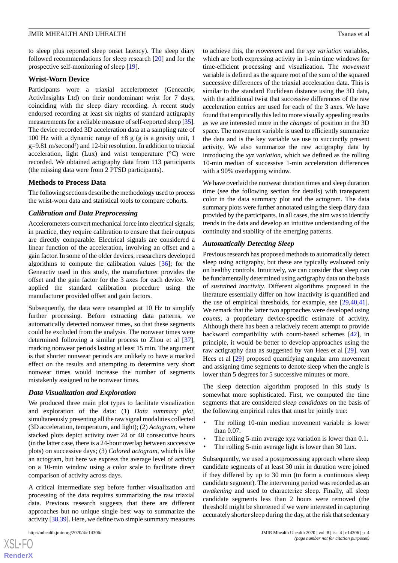to sleep plus reported sleep onset latency). The sleep diary followed recommendations for sleep research [[20\]](#page-16-17) and for the prospective self-monitoring of sleep [[19\]](#page-16-16).

#### **Wrist-Worn Device**

Participants wore a triaxial accelerometer (Geneactiv, ActivInsights Ltd) on their nondominant wrist for 7 days, coinciding with the sleep diary recording. A recent study endorsed recording at least six nights of standard actigraphy measurements for a reliable measure of self-reported sleep [\[35\]](#page-17-11). The device recorded 3D acceleration data at a sampling rate of 100 Hz with a dynamic range of  $\pm 8$  g (g is a gravity unit, 1 g=9.81 m/second²) and 12-bit resolution. In addition to triaxial acceleration, light (Lux) and wrist temperature  $(^{\circ}C)$  were recorded. We obtained actigraphy data from 113 participants (the missing data were from 2 PTSD participants).

#### **Methods to Process Data**

The following sections describe the methodology used to process the wrist-worn data and statistical tools to compare cohorts.

#### *Calibration and Data Preprocessing*

Accelerometers convert mechanical force into electrical signals; in practice, they require calibration to ensure that their outputs are directly comparable. Electrical signals are considered a linear function of the acceleration, involving an offset and a gain factor. In some of the older devices, researchers developed algorithms to compute the calibration values [[36\]](#page-17-12); for the Geneactiv used in this study, the manufacturer provides the offset and the gain factor for the 3 axes for each device. We applied the standard calibration procedure using the manufacturer provided offset and gain factors.

Subsequently, the data were resampled at 10 Hz to simplify further processing. Before extracting data patterns, we automatically detected nonwear times, so that these segments could be excluded from the analysis. The nonwear times were determined following a similar process to Zhou et al [[37\]](#page-17-13), marking nonwear periods lasting at least 15 min. The argument is that shorter nonwear periods are unlikely to have a marked effect on the results and attempting to determine very short nonwear times would increase the number of segments mistakenly assigned to be nonwear times.

#### *Data Visualization and Exploration*

We produced three main plot types to facilitate visualization and exploration of the data: (1) *Data summary plot*, simultaneously presenting all the raw signal modalities collected (3D acceleration, temperature, and light); (2) *Actogram*, where stacked plots depict activity over 24 or 48 consecutive hours (in the latter case, there is a 24-hour overlap between successive plots) on successive days; (3) *Colored actogram*, which is like an actogram, but here we express the average level of activity on a 10-min window using a color scale to facilitate direct comparison of activity across days.

A critical intermediate step before further visualization and processing of the data requires summarizing the raw triaxial data. Previous research suggests that there are different approaches but no unique single best way to summarize the activity [\[38](#page-17-14),[39\]](#page-17-15). Here, we define two simple summary measures

[XSL](http://www.w3.org/Style/XSL)•FO **[RenderX](http://www.renderx.com/)** to achieve this, the *movement* and the *xyz variation* variables, which are both expressing activity in 1-min time windows for time-efficient processing and visualization. The *movement* variable is defined as the square root of the sum of the squared successive differences of the triaxial acceleration data. This is similar to the standard Euclidean distance using the 3D data, with the additional twist that successive differences of the raw acceleration entries are used for each of the 3 axes. We have found that empirically this led to more visually appealing results as we are interested more in the *changes* of position in the 3D space. The movement variable is used to efficiently summarize the data and is the key variable we use to succinctly present activity. We also summarize the raw actigraphy data by introducing the *xyz variation*, which we defined as the rolling 10-min median of successive 1-min acceleration differences with a 90% overlapping window.

We have overlaid the nonwear duration times and sleep duration time (see the following section for details) with transparent color in the data summary plot and the actogram. The data summary plots were further annotated using the sleep diary data provided by the participants. In all cases, the aim was to identify trends in the data and develop an intuitive understanding of the continuity and stability of the emerging patterns.

#### *Automatically Detecting Sleep*

Previous research has proposed methods to automatically detect sleep using actigraphy, but these are typically evaluated only on healthy controls. Intuitively, we can consider that sleep can be fundamentally determined using actigraphy data on the basis of *sustained inactivity*. Different algorithms proposed in the literature essentially differ on how inactivity is quantified and the use of empirical thresholds, for example, see [[29](#page-17-6)[,40](#page-17-16),[41\]](#page-17-17). We remark that the latter two approaches were developed using *counts*, a proprietary device-specific estimate of activity. Although there has been a relatively recent attempt to provide backward compatibility with count-based schemes [\[42](#page-17-18)], in principle, it would be better to develop approaches using the raw actigraphy data as suggested by van Hees et al [[29\]](#page-17-6). van Hees et al [[29\]](#page-17-6) proposed quantifying angular arm movement and assigning time segments to denote sleep when the angle is lower than 5 degrees for 5 successive minutes or more.

The sleep detection algorithm proposed in this study is somewhat more sophisticated. First, we computed the time segments that are considered *sleep candidates* on the basis of the following empirical rules that must be jointly true:

- The rolling 10-min median movement variable is lower than 0.07.
- The rolling 5-min average xyz variation is lower than 0.1.
- The rolling 5-min average light is lower than 30 Lux.

Subsequently, we used a postprocessing approach where sleep candidate segments of at least 30 min in duration were joined if they differed by up to 30 min (to form a continuous sleep candidate segment). The intervening period was recorded as an *awakening* and used to characterize sleep. Finally, all sleep candidate segments less than 2 hours were removed (the threshold might be shortened if we were interested in capturing accurately shorter sleep during the day, at the risk that sedentary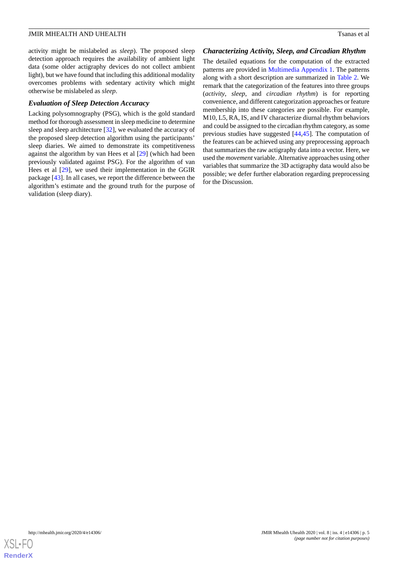activity might be mislabeled as *sleep*). The proposed sleep detection approach requires the availability of ambient light data (some older actigraphy devices do not collect ambient light), but we have found that including this additional modality overcomes problems with sedentary activity which might otherwise be mislabeled as *sleep*.

#### *Evaluation of Sleep Detection Accuracy*

Lacking polysomnography (PSG), which is the gold standard method for thorough assessment in sleep medicine to determine sleep and sleep architecture [\[32](#page-17-8)], we evaluated the accuracy of the proposed sleep detection algorithm using the participants' sleep diaries. We aimed to demonstrate its competitiveness against the algorithm by van Hees et al [\[29](#page-17-6)] (which had been previously validated against PSG). For the algorithm of van Hees et al [\[29](#page-17-6)], we used their implementation in the GGIR package [[43\]](#page-17-19). In all cases, we report the difference between the algorithm's estimate and the ground truth for the purpose of validation (sleep diary).

#### *Characterizing Activity, Sleep, and Circadian Rhythm*

The detailed equations for the computation of the extracted patterns are provided in [Multimedia Appendix 1.](#page-15-1) The patterns along with a short description are summarized in [Table 2](#page-5-0). We remark that the categorization of the features into three groups (*activity*, *sleep*, and *circadian rhythm*) is for reporting convenience, and different categorization approaches or feature membership into these categories are possible. For example, M10, L5, RA, IS, and IV characterize diurnal rhythm behaviors and could be assigned to the circadian rhythm category, as some previous studies have suggested [\[44](#page-17-20),[45\]](#page-18-0). The computation of the features can be achieved using any preprocessing approach that summarizes the raw actigraphy data into a vector. Here, we used the *movement* variable. Alternative approaches using other variables that summarize the 3D actigraphy data would also be possible; we defer further elaboration regarding preprocessing for the Discussion.

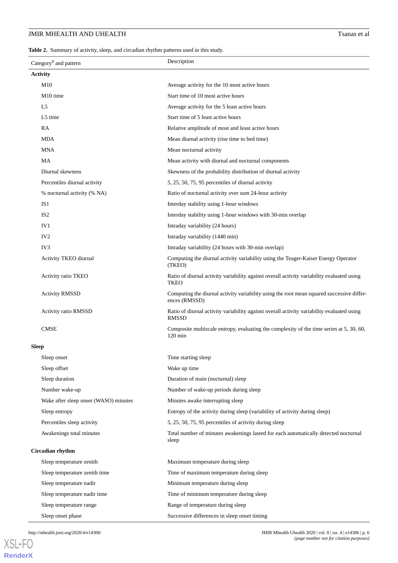<span id="page-5-0"></span>**Table 2.** Summary of activity, sleep, and circadian rhythm patterns used in this study.

| Category <sup>a</sup> and pattern     | Description                                                                                                   |
|---------------------------------------|---------------------------------------------------------------------------------------------------------------|
| <b>Activity</b>                       |                                                                                                               |
| M10                                   | Average activity for the 10 most active hours                                                                 |
| M <sub>10</sub> time                  | Start time of 10 most active hours                                                                            |
| L5                                    | Average activity for the 5 least active hours                                                                 |
| L5 time                               | Start time of 5 least active hours                                                                            |
| RA                                    | Relative amplitude of most and least active hours                                                             |
| <b>MDA</b>                            | Mean diurnal activity (rise time to bed time)                                                                 |
| MNA                                   | Mean nocturnal activity                                                                                       |
| MA                                    | Mean activity with diurnal and nocturnal components                                                           |
| Diurnal skewness                      | Skewness of the probability distribution of diurnal activity                                                  |
| Percentiles diurnal activity          | 5, 25, 50, 75, 95 percentiles of diurnal activity                                                             |
| % nocturnal activity (% NA)           | Ratio of nocturnal activity over sum 24-hour activity                                                         |
| IS1                                   | Interday stability using 1-hour windows                                                                       |
| IS <sub>2</sub>                       | Interday stability using 1-hour windows with 30-min overlap                                                   |
| IV1                                   | Intraday variability (24 hours)                                                                               |
| IV <sub>2</sub>                       | Intraday variability (1440 min)                                                                               |
| IV <sub>3</sub>                       | Intraday variability (24 hours with 30-min overlap)                                                           |
| Activity TKEO diurnal                 | Computing the diurnal activity variability using the Teager-Kaiser Energy Operator<br>(TKEO)                  |
| Activity ratio TKEO                   | Ratio of diurnal activity variability against overall activity variability evaluated using<br><b>TKEO</b>     |
| <b>Activity RMSSD</b>                 | Computing the diurnal activity variability using the root mean squared successive differ-<br>ences (RMSSD)    |
| <b>Activity ratio RMSSD</b>           | Ratio of diurnal activity variability against overall activity variability evaluated using<br><b>RMSSD</b>    |
| <b>CMSE</b>                           | Composite multiscale entropy, evaluating the complexity of the time series at 5, 30, 60,<br>$120 \text{ min}$ |
| <b>Sleep</b>                          |                                                                                                               |
| Sleep onset                           | Time starting sleep                                                                                           |
| Sleep offset                          | Wake up time                                                                                                  |
| Sleep duration                        | Duration of main (nocturnal) sleep                                                                            |
| Number wake-up                        | Number of wake-up periods during sleep                                                                        |
| Wake after sleep onset (WASO) minutes | Minutes awake interrupting sleep                                                                              |
| Sleep entropy                         | Entropy of the activity during sleep (variability of activity during sleep)                                   |
| Percentiles sleep activity            | 5, 25, 50, 75, 95 percentiles of activity during sleep                                                        |
| Awakenings total minutes              | Total number of minutes awakenings lasted for each automatically detected nocturnal<br>sleep                  |
| Circadian rhythm                      |                                                                                                               |
| Sleep temperature zenith              | Maximum temperature during sleep                                                                              |
| Sleep temperature zenith time         | Time of maximum temperature during sleep                                                                      |
| Sleep temperature nadir               | Minimum temperature during sleep                                                                              |
| Sleep temperature nadir time          | Time of minimum temperature during sleep                                                                      |
| Sleep temperature range               | Range of temperature during sleep                                                                             |
| Sleep onset phase                     | Successive differences in sleep onset timing                                                                  |

[XSL](http://www.w3.org/Style/XSL)•FO **[RenderX](http://www.renderx.com/)**

http://mhealth.jmir.org/2020/4/e14306/ JMIR Mhealth Uhealth 2020 | vol. 8 | iss. 4 | e14306 | p. 6 *(page number not for citation purposes)*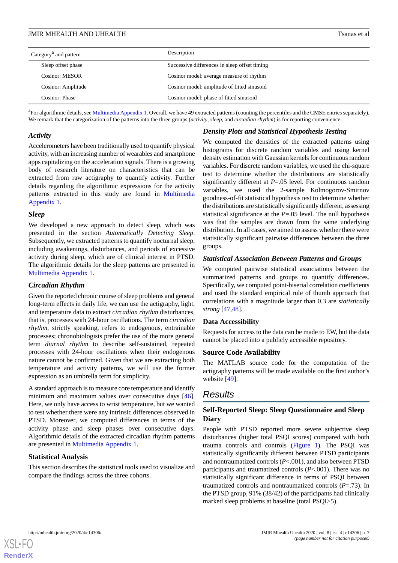| Category <sup>a</sup> and pattern | Description                                   |
|-----------------------------------|-----------------------------------------------|
| Sleep offset phase                | Successive differences in sleep offset timing |
| <b>Cosinor: MESOR</b>             | Cosinor model: average measure of rhythm      |
| Cosinor: Amplitude                | Cosinor model: amplitude of fitted sinusoid   |
| Cosinor: Phase                    | Cosinor model: phase of fitted sinusoid       |

<sup>a</sup> For algorithmic details, see [Multimedia Appendix 1](#page-15-1). Overall, we have 49 extracted patterns (counting the percentiles and the CMSE entries separately). We remark that the categorization of the patterns into the three groups (*activity*, *sleep*, and *circadian rhythm*) is for reporting convenience.

#### *Activity*

Accelerometers have been traditionally used to quantify physical activity, with an increasing number of wearables and smartphone apps capitalizing on the acceleration signals. There is a growing body of research literature on characteristics that can be extracted from raw actigraphy to quantify activity. Further details regarding the algorithmic expressions for the activity patterns extracted in this study are found in [Multimedia](#page-15-1) [Appendix 1.](#page-15-1)

#### *Sleep*

We developed a new approach to detect sleep, which was presented in the section *Automatically Detecting Sleep*. Subsequently, we extracted patterns to quantify nocturnal sleep, including awakenings, disturbances, and periods of excessive activity during sleep, which are of clinical interest in PTSD. The algorithmic details for the sleep patterns are presented in [Multimedia Appendix 1.](#page-15-1)

#### *Circadian Rhythm*

Given the reported chronic course of sleep problems and general long-term effects in daily life, we can use the actigraphy, light, and temperature data to extract *circadian rhythm* disturbances, that is, processes with 24-hour oscillations. The term *circadian rhythm*, strictly speaking, refers to endogenous, entrainable processes; chronobiologists prefer the use of the more general term *diurnal rhythm* to describe self-sustained, repeated processes with 24-hour oscillations when their endogenous nature cannot be confirmed. Given that we are extracting both temperature and activity patterns, we will use the former expression as an umbrella term for simplicity.

A standard approach is to measure core temperature and identify minimum and maximum values over consecutive days [[46\]](#page-18-1). Here, we only have access to wrist temperature, but we wanted to test whether there were any intrinsic differences observed in PTSD. Moreover, we computed differences in terms of the activity phase and sleep phases over consecutive days. Algorithmic details of the extracted circadian rhythm patterns are presented in [Multimedia Appendix 1](#page-15-1).

#### **Statistical Analysis**

This section describes the statistical tools used to visualize and compare the findings across the three cohorts.

## *Density Plots and Statistical Hypothesis Testing*

We computed the densities of the extracted patterns using histograms for discrete random variables and using kernel density estimation with Gaussian kernels for continuous random variables. For discrete random variables, we used the chi-square test to determine whether the distributions are statistically significantly different at *P*=.05 level. For continuous random variables, we used the 2-sample Kolmogorov-Smirnov goodness-of-fit statistical hypothesis test to determine whether the distributions are statistically significantly different, assessing statistical significance at the *P*=.05 level. The null hypothesis was that the samples are drawn from the same underlying distribution. In all cases, we aimed to assess whether there were statistically significant pairwise differences between the three groups.

#### *Statistical Association Between Patterns and Groups*

We computed pairwise statistical associations between the summarized patterns and groups to quantify differences. Specifically, we computed point-biserial correlation coefficients and used the standard empirical rule of thumb approach that correlations with a magnitude larger than 0.3 are *statistically strong* [[47,](#page-18-2)[48](#page-18-3)].

#### **Data Accessibility**

Requests for access to the data can be made to EW, but the data cannot be placed into a publicly accessible repository.

#### **Source Code Availability**

The MATLAB source code for the computation of the actigraphy patterns will be made available on the first author's website [\[49](#page-18-4)].

## *Results*

## **Self-Reported Sleep: Sleep Questionnaire and Sleep Diary**

People with PTSD reported more severe subjective sleep disturbances (higher total PSQI scores) compared with both trauma controls and controls [\(Figure 1\)](#page-7-0). The PSQI was statistically significantly different between PTSD participants and nontraumatized controls (*P*<.001), and also between PTSD participants and traumatized controls (*P*<.001). There was no statistically significant difference in terms of PSQI between traumatized controls and nontraumatized controls (*P*=.73). In the PTSD group, 91% (38/42) of the participants had clinically marked sleep problems at baseline (total PSQI>5).

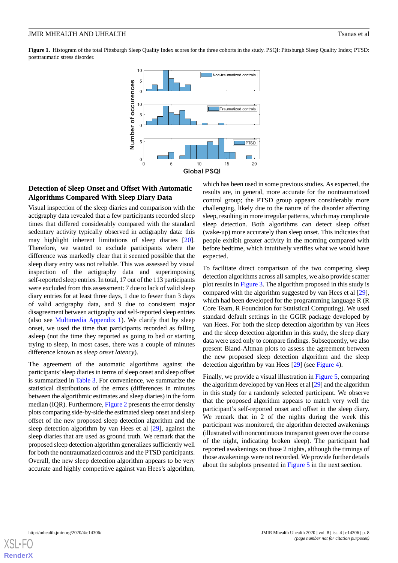<span id="page-7-0"></span>**Figure 1.** Histogram of the total Pittsburgh Sleep Quality Index scores for the three cohorts in the study. PSQI: Pittsburgh Sleep Quality Index; PTSD: posttraumatic stress disorder.



## **Detection of Sleep Onset and Offset With Automatic Algorithms Compared With Sleep Diary Data**

Visual inspection of the sleep diaries and comparison with the actigraphy data revealed that a few participants recorded sleep times that differed considerably compared with the standard sedentary activity typically observed in actigraphy data: this may highlight inherent limitations of sleep diaries [[20\]](#page-16-17). Therefore, we wanted to exclude participants where the difference was markedly clear that it seemed possible that the sleep diary entry was not reliable. This was assessed by visual inspection of the actigraphy data and superimposing self-reported sleep entries. In total, 17 out of the 113 participants were excluded from this assessment: 7 due to lack of valid sleep diary entries for at least three days, 1 due to fewer than 3 days of valid actigraphy data, and 9 due to consistent major disagreement between actigraphy and self-reported sleep entries (also see [Multimedia Appendix 1\)](#page-15-1). We clarify that by sleep onset, we used the time that participants recorded as falling asleep (not the time they reported as going to bed or starting trying to sleep, in most cases, there was a couple of minutes difference known as *sleep onset latency*).

The agreement of the automatic algorithms against the participants'sleep diaries in terms of sleep onset and sleep offset is summarized in [Table 3.](#page-8-0) For convenience, we summarize the statistical distributions of the errors (differences in minutes between the algorithmic estimates and sleep diaries) in the form median (IQR). Furthermore, [Figure 2](#page-8-1) presents the error density plots comparing side-by-side the estimated sleep onset and sleep offset of the new proposed sleep detection algorithm and the sleep detection algorithm by van Hees et al [\[29](#page-17-6)], against the sleep diaries that are used as ground truth. We remark that the proposed sleep detection algorithm generalizes sufficiently well for both the nontraumatized controls and the PTSD participants. Overall, the new sleep detection algorithm appears to be very accurate and highly competitive against van Hees's algorithm,

which has been used in some previous studies. As expected, the results are, in general, more accurate for the nontraumatized control group; the PTSD group appears considerably more challenging, likely due to the nature of the disorder affecting sleep, resulting in more irregular patterns, which may complicate sleep detection. Both algorithms can detect sleep offset (wake-up) more accurately than sleep onset. This indicates that people exhibit greater activity in the morning compared with before bedtime, which intuitively verifies what we would have expected.

To facilitate direct comparison of the two competing sleep detection algorithms across all samples, we also provide scatter plot results in [Figure 3](#page-9-0). The algorithm proposed in this study is compared with the algorithm suggested by van Hees et al [[29\]](#page-17-6), which had been developed for the programming language R (R Core Team, R Foundation for Statistical Computing). We used standard default settings in the GGIR package developed by van Hees. For both the sleep detection algorithm by van Hees and the sleep detection algorithm in this study, the sleep diary data were used only to compare findings. Subsequently, we also present Bland-Altman plots to assess the agreement between the new proposed sleep detection algorithm and the sleep detection algorithm by van Hees [\[29](#page-17-6)] (see [Figure 4](#page-10-0)).

Finally, we provide a visual illustration in [Figure 5](#page-10-1), comparing the algorithm developed by van Hees et al [[29\]](#page-17-6) and the algorithm in this study for a randomly selected participant. We observe that the proposed algorithm appears to match very well the participant's self-reported onset and offset in the sleep diary. We remark that in 2 of the nights during the week this participant was monitored, the algorithm detected awakenings (illustrated with noncontinuous transparent green over the course of the night, indicating broken sleep). The participant had reported awakenings on those 2 nights, although the timings of those awakenings were not recorded. We provide further details about the subplots presented in [Figure 5](#page-10-1) in the next section.

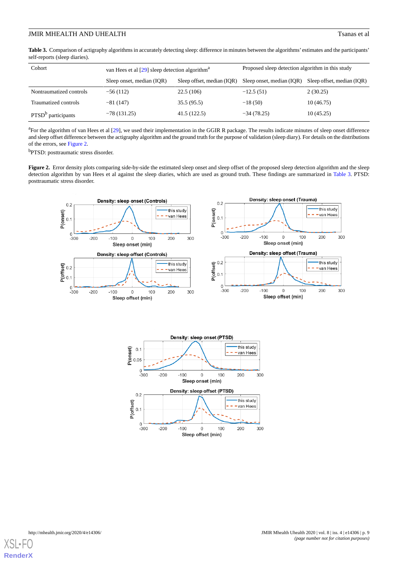## **JMIR MHEALTH AND UHEALTH The UNITED STATES ASSESSED ASSESSED ASSESSED ASSESSED ASSESSED ASSESSED ASSESSED ASSESSED ASSESSED ASSESSED ASSESSED AND LOCAL TRANSPORTED ASSESSED ASSESSED ASSESSED AND LOCAL TRANSPORTED ASSESS**

<span id="page-8-0"></span>**Table 3.** Comparison of actigraphy algorithms in accurately detecting sleep: difference in minutes between the algorithms' estimates and the participants' self-reports (sleep diaries).

| Cohort                         | van Hees et al $[29]$ sleep detection algorithm <sup>a</sup> |                            | Proposed sleep detection algorithm in this study |                            |  |
|--------------------------------|--------------------------------------------------------------|----------------------------|--------------------------------------------------|----------------------------|--|
|                                | Sleep onset, median (IOR)                                    | Sleep offset, median (IQR) | Sleep onset, median (IQR)                        | Sleep offset, median (IOR) |  |
| Nontraumatized controls        | $-56(112)$                                                   | 22.5(106)                  | $-12.5(51)$                                      | 2(30.25)                   |  |
| Traumatized controls           | $-81(147)$                                                   | 35.5(95.5)                 | $-18(50)$                                        | 10(46.75)                  |  |
| PTSD <sup>b</sup> participants | $-78(131.25)$                                                | 41.5(122.5)                | $-34(78.25)$                                     | 10(45.25)                  |  |

<sup>a</sup>For the algorithm of van Hees et al [\[29\]](#page-17-6), we used their implementation in the GGIR R package. The results indicate minutes of sleep onset difference and sleep offset difference between the actigraphy algorithm and the ground truth for the purpose of validation (sleep diary). For details on the distributions of the errors, see [Figure 2.](#page-8-1)

<span id="page-8-1"></span><sup>b</sup>PTSD: posttraumatic stress disorder.

Figure 2. Error density plots comparing side-by-side the estimated sleep onset and sleep offset of the proposed sleep detection algorithm and the sleep detection algorithm by van Hees et al against the sleep diaries, which are used as ground truth. These findings are summarized in [Table 3.](#page-8-0) PTSD: posttraumatic stress disorder.



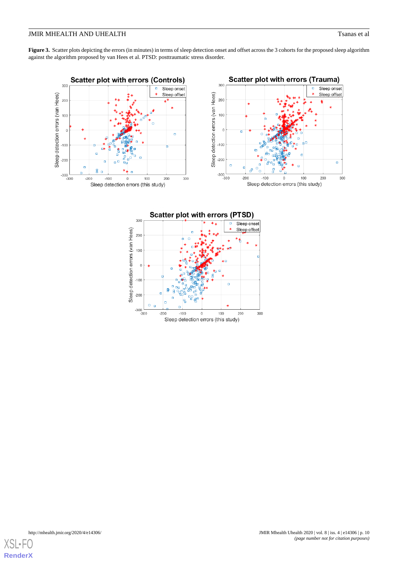## **JMIR MHEALTH AND UHEALTH The UNITED STATES ASSESSED ASSESSED ASSESSED ASSESSED ASSESSED ASSESSED ASSESSED ASSESSED ASSESSED ASSESSED ASSESSED AND LOCAL TRANSPORTED ASSESSED ASSESSED ASSESSED AND LOCAL TRANSPORTED ASSESS**

<span id="page-9-0"></span>**Figure 3.** Scatter plots depicting the errors (in minutes) in terms of sleep detection onset and offset across the 3 cohorts for the proposed sleep algorithm against the algorithm proposed by van Hees et al. PTSD: posttraumatic stress disorder.





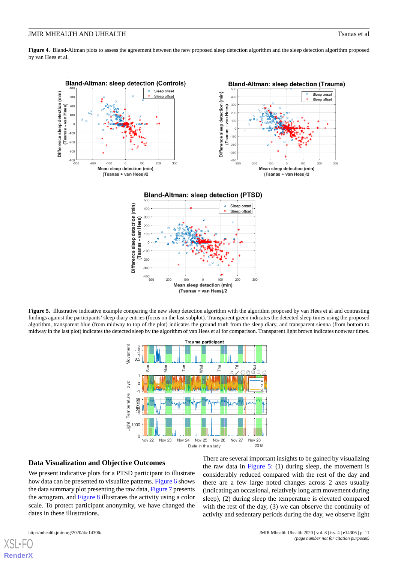<span id="page-10-0"></span>Figure 4. Bland-Altman plots to assess the agreement between the new proposed sleep detection algorithm and the sleep detection algorithm proposed by van Hees et al.



(Tsanas + van Hees)/2

<span id="page-10-1"></span>Figure 5. Illustrative indicative example comparing the new sleep detection algorithm with the algorithm proposed by van Hees et al and contrasting findings against the participants'sleep diary entries (focus on the last subplot). Transparent green indicates the detected sleep times using the proposed algorithm, transparent blue (from midway to top of the plot) indicates the ground truth from the sleep diary, and transparent sienna (from bottom to midway in the last plot) indicates the detected sleep by the algorithm of van Hees et al for comparison. Transparent light brown indicates nonwear times.



#### **Data Visualization and Objective Outcomes**

We present indicative plots for a PTSD participant to illustrate how data can be presented to visualize patterns. [Figure 6](#page-11-0) shows the data summary plot presenting the raw data, [Figure 7](#page-11-1) presents the actogram, and [Figure 8](#page-12-0) illustrates the activity using a color scale. To protect participant anonymity, we have changed the dates in these illustrations.

There are several important insights to be gained by visualizing the raw data in [Figure 5](#page-10-1): (1) during sleep, the movement is considerably reduced compared with the rest of the day and there are a few large noted changes across 2 axes usually (indicating an occasional, relatively long arm movement during sleep), (2) during sleep the temperature is elevated compared with the rest of the day, (3) we can observe the continuity of activity and sedentary periods during the day, we observe light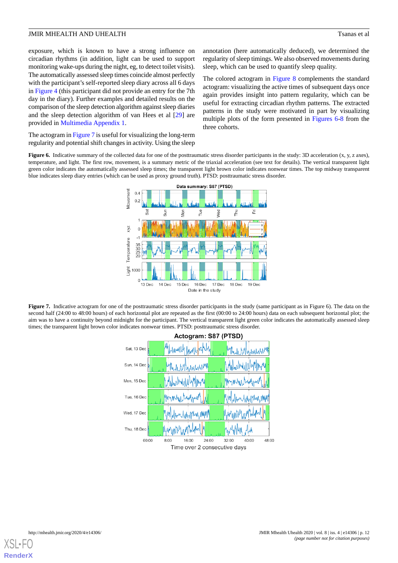exposure, which is known to have a strong influence on circadian rhythms (in addition, light can be used to support monitoring wake-ups during the night, eg, to detect toilet visits). The automatically assessed sleep times coincide almost perfectly with the participant's self-reported sleep diary across all 6 days in [Figure 4](#page-10-0) (this participant did not provide an entry for the 7th day in the diary). Further examples and detailed results on the comparison of the sleep detection algorithm against sleep diaries and the sleep detection algorithm of van Hees et al [\[29](#page-17-6)] are provided in [Multimedia Appendix 1.](#page-15-1)

<span id="page-11-0"></span>The actogram in [Figure 7](#page-11-1) is useful for visualizing the long-term regularity and potential shift changes in activity. Using the sleep

annotation (here automatically deduced), we determined the regularity of sleep timings. We also observed movements during sleep, which can be used to quantify sleep quality.

The colored actogram in [Figure 8](#page-12-0) complements the standard actogram: visualizing the active times of subsequent days once again provides insight into pattern regularity, which can be useful for extracting circadian rhythm patterns. The extracted patterns in the study were motivated in part by visualizing multiple plots of the form presented in [Figures 6-](#page-11-0)[8](#page-12-0) from the three cohorts.

Figure 6. Indicative summary of the collected data for one of the posttraumatic stress disorder participants in the study: 3D acceleration (x, y, z axes), temperature, and light. The first row, movement, is a summary metric of the triaxial acceleration (see text for details). The vertical transparent light green color indicates the automatically assessed sleep times; the transparent light brown color indicates nonwear times. The top midway transparent blue indicates sleep diary entries (which can be used as proxy ground truth). PTSD: posttraumatic stress disorder.



<span id="page-11-1"></span>**Figure 7.** Indicative actogram for one of the posttraumatic stress disorder participants in the study (same participant as in Figure 6). The data on the second half (24:00 to 48:00 hours) of each horizontal plot are repeated as the first (00:00 to 24:00 hours) data on each subsequent horizontal plot; the aim was to have a continuity beyond midnight for the participant. The vertical transparent light green color indicates the automatically assessed sleep times; the transparent light brown color indicates nonwear times. PTSD: posttraumatic stress disorder.



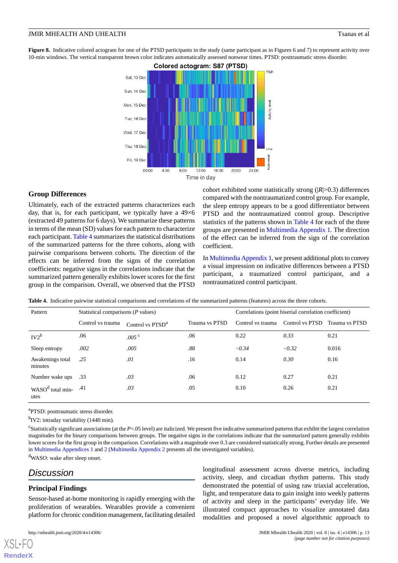<span id="page-12-0"></span>**Figure 8.** Indicative colored actogram for one of the PTSD participants in the study (same participant as in Figures 6 and 7) to represent activity over 10-min windows. The vertical transparent brown color indicates automatically assessed nonwear times. PTSD: posttraumatic stress disorder.



#### **Group Differences**

Ultimately, each of the extracted patterns characterizes each day, that is, for each participant, we typically have a 49×6 (extracted 49 patterns for 6 days). We summarize these patterns in terms of the mean (SD) values for each pattern to characterize each participant. [Table 4](#page-12-1) summarizes the statistical distributions of the summarized patterns for the three cohorts, along with pairwise comparisons between cohorts. The direction of the effects can be inferred from the signs of the correlation coefficients: negative signs in the correlations indicate that the summarized pattern generally exhibits lower scores for the first group in the comparison. Overall, we observed that the PTSD

cohort exhibited some statistically strong (|*R*|>0.3) differences compared with the nontraumatized control group. For example, the sleep entropy appears to be a good differentiator between PTSD and the nontraumatized control group. Descriptive statistics of the patterns shown in [Table 4](#page-12-1) for each of the three groups are presented in [Multimedia Appendix 1](#page-15-1). The direction of the effect can be inferred from the sign of the correlation coefficient.

In [Multimedia Appendix 1](#page-15-1), we present additional plots to convey a visual impression on indicative differences between a PTSD participant, a traumatized control participant, and a nontraumatized control participant.

| Pattern                              | Statistical comparisons (P values) |                              |                | Correlations (point biserial correlation coefficient) |                 |                |
|--------------------------------------|------------------------------------|------------------------------|----------------|-------------------------------------------------------|-----------------|----------------|
|                                      | Control vs trauma                  | Control vs PTSD <sup>a</sup> | Trauma vs PTSD | Control vs trauma                                     | Control vs PTSD | Trauma vs PTSD |
| $IV2^b$                              | .06                                | .005 <sup>c</sup>            | .06            | 0.22                                                  | 0.33            | 0.21           |
| Sleep entropy                        | .002                               | .005                         | .88            | $-0.34$                                               | $-0.32$         | 0.016          |
| Awakenings total<br>minutes          | .25                                | .01                          | .16            | 0.14                                                  | 0.30            | 0.16           |
| Number wake ups                      | .33                                | .03                          | .06            | 0.12                                                  | 0.27            | 0.21           |
| WASO <sup>d</sup> total min-<br>utes | .41                                | .03                          | .05            | 0.10                                                  | 0.26            | 0.21           |

<span id="page-12-1"></span>**Table 4.** Indicative pairwise statistical comparisons and correlations of the summarized patterns (features) across the three cohorts.

<sup>a</sup>PTSD: posttraumatic stress disorder.

<sup>b</sup>IV2: intraday variability (1440 min).

c Statistically significant associations (at the *P*=.05 level) are italicized. We present five indicative summarized patterns that exhibit the largest correlation magnitudes for the binary comparisons between groups. The negative signs in the correlations indicate that the summarized pattern generally exhibits lower scores for the first group in the comparison. Correlations with a magnitude over 0.3 are considered statistically strong. Further details are presented in [Multimedia Appendices 1](#page-15-1) and [2](#page-15-2) [\(Multimedia Appendix 2](#page-15-2) presents all the investigated variables).

<sup>d</sup>WASO: wake after sleep onset.

## *Discussion*

[XSL](http://www.w3.org/Style/XSL)•FO **[RenderX](http://www.renderx.com/)**

#### **Principal Findings**

Sensor-based at-home monitoring is rapidly emerging with the proliferation of wearables. Wearables provide a convenient platform for chronic condition management, facilitating detailed

longitudinal assessment across diverse metrics, including activity, sleep, and circadian rhythm patterns. This study demonstrated the potential of using raw triaxial acceleration, light, and temperature data to gain insight into weekly patterns of activity and sleep in the participants' everyday life. We illustrated compact approaches to visualize annotated data modalities and proposed a novel algorithmic approach to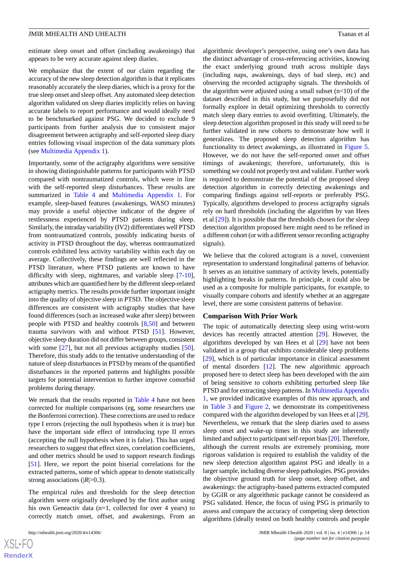estimate sleep onset and offset (including awakenings) that appears to be very accurate against sleep diaries.

We emphasize that the extent of our claim regarding the accuracy of the new sleep detection algorithm is that it replicates reasonably accurately the sleep diaries, which is a proxy for the true sleep onset and sleep offset. Any automated sleep detection algorithm validated on sleep diaries implicitly relies on having accurate labels to report performance and would ideally need to be benchmarked against PSG. We decided to exclude 9 participants from further analysis due to consistent major disagreement between actigraphy and self-reported sleep diary entries following visual inspection of the data summary plots (see [Multimedia Appendix 1](#page-15-1)).

Importantly, some of the actigraphy algorithms were sensitive in showing distinguishable patterns for participants with PTSD compared with nontraumatized controls, which were in line with the self-reported sleep disturbances. These results are summarized in [Table 4](#page-12-1) and [Multimedia Appendix 1.](#page-15-1) For example, sleep-based features (awakenings, WASO minutes) may provide a useful objective indicator of the degree of restlessness experienced by PTSD patients during sleep. Similarly, the intraday variability (IV2) differentiates well PTSD from nontraumatized controls, possibly indicating bursts of activity in PTSD throughout the day, whereas nontraumatized controls exhibited less activity variability within each day on average. Collectively, these findings are well reflected in the PTSD literature, where PTSD patients are known to have difficulty with sleep, nightmares, and variable sleep [[7](#page-16-5)-[10\]](#page-16-8), attributes which are quantified here by the different sleep-related actigraphy metrics. The results provide further important insight into the quality of objective sleep in PTSD. The objective sleep differences are consistent with actigraphy studies that have found differences (such as increased wake after sleep) between people with PTSD and healthy controls [[8](#page-16-6)[,50](#page-18-5)] and between trauma survivors with and without PTSD [[51\]](#page-18-6). However, objective sleep duration did not differ between groups, consistent with some [[27\]](#page-17-4), but not all previous actigraphy studies [[50\]](#page-18-5). Therefore, this study adds to the tentative understanding of the nature of sleep disturbances in PTSD by means of the quantified disturbances in the reported patterns and highlights possible targets for potential intervention to further improve comorbid problems during therapy.

We remark that the results reported in [Table 4](#page-12-1) have not been corrected for multiple comparisons (eg, some researchers use the Bonferroni correction). These corrections are used to reduce type I errors (rejecting the null hypothesis when it is true) but have the important side effect of introducing type II errors (accepting the null hypothesis when it is false). This has urged researchers to suggest that effect sizes, correlation coefficients, and other metrics should be used to support research findings [[51\]](#page-18-6). Here, we report the point biserial correlations for the extracted patterns, some of which appear to denote statistically strong associations ( $|R| > 0.3$ ).

The empirical rules and thresholds for the sleep detection algorithm were originally developed by the first author using his own Geneactiv data (n=1, collected for over 4 years) to correctly match onset, offset, and awakenings. From an

algorithmic developer's perspective, using one's own data has the distinct advantage of cross-referencing activities, knowing the exact underlying ground truth across multiple days (including naps, awakenings, days of bad sleep, etc) and observing the recorded actigraphy signals. The thresholds of the algorithm were adjusted using a small subset  $(n<10)$  of the dataset described in this study, but we purposefully did not formally explore in detail optimizing thresholds to correctly match sleep diary entries to avoid overfitting. Ultimately, the sleep detection algorithm proposed in this study will need to be further validated in new cohorts to demonstrate how well it generalizes. The proposed sleep detection algorithm has functionality to detect awakenings, as illustrated in [Figure 5](#page-10-1). However, we do not have the self-reported onset and offset timings of awakenings; therefore, unfortunately, this is something we could not properly test and validate. Further work is required to demonstrate the potential of the proposed sleep detection algorithm in correctly detecting awakenings and comparing findings against self-reports or preferably PSG. Typically, algorithms developed to process actigraphy signals rely on hard thresholds (including the algorithm by van Hees et al [[29\]](#page-17-6)). It is possible that the thresholds chosen for the sleep detection algorithm proposed here might need to be refined in a different cohort (or with a different sensor recording actigraphy signals).

We believe that the colored actogram is a novel, convenient representation to understand longitudinal patterns of behavior. It serves as an intuitive summary of activity levels, potentially highlighting breaks in patterns. In principle, it could also be used as a composite for multiple participants, for example, to visually compare cohorts and identify whether at an aggregate level, there are some consistent patterns of behavior.

#### **Comparison With Prior Work**

The topic of automatically detecting sleep using wrist-worn devices has recently attracted attention [[29\]](#page-17-6). However, the algorithms developed by van Hees et al [\[29](#page-17-6)] have not been validated in a group that exhibits considerable sleep problems [[29\]](#page-17-6), which is of particular importance in clinical assessment of mental disorders [[12\]](#page-16-10). The new algorithmic approach proposed here to detect sleep has been developed with the aim of being sensitive to cohorts exhibiting perturbed sleep like PTSD and for extracting sleep patterns. In [Multimedia Appendix](#page-15-1) [1,](#page-15-1) we provided indicative examples of this new approach, and in [Table 3](#page-8-0) and [Figure 2,](#page-8-1) we demonstrate its competitiveness compared with the algorithm developed by van Hees et al [[29\]](#page-17-6). Nevertheless, we remark that the sleep diaries used to assess sleep onset and wake-up times in this study are inherently limited and subject to participant self-report bias [[20](#page-16-17)]. Therefore, although the current results are extremely promising, more rigorous validation is required to establish the validity of the new sleep detection algorithm against PSG and ideally in a larger sample, including diverse sleep pathologies. PSG provides the objective ground truth for sleep onset, sleep offset, and awakenings: the actigraphy-based patterns extracted computed by GGIR or any algorithmic package cannot be considered as PSG validated. Hence, the focus of using PSG is primarily to assess and compare the accuracy of competing sleep detection algorithms (ideally tested on both healthy controls and people

```
XS-FO
RenderX
```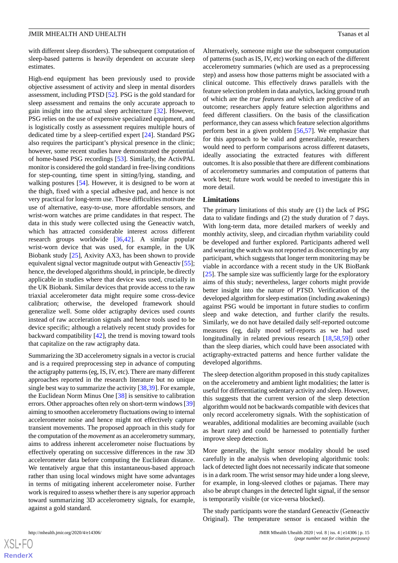with different sleep disorders). The subsequent computation of sleep-based patterns is heavily dependent on accurate sleep estimates.

High-end equipment has been previously used to provide objective assessment of activity and sleep in mental disorders assessment, including PTSD [[52\]](#page-18-7). PSG is the gold standard for sleep assessment and remains the only accurate approach to gain insight into the actual sleep architecture [\[32](#page-17-8)]. However, PSG relies on the use of expensive specialized equipment, and is logistically costly as assessment requires multiple hours of dedicated time by a sleep-certified expert [[24\]](#page-17-1). Standard PSG also requires the participant's physical presence in the clinic; however, some recent studies have demonstrated the potential of home-based PSG recordings [\[53](#page-18-8)]. Similarly, the ActivPAL monitor is considered the gold standard in free-living conditions for step-counting, time spent in sitting/lying, standing, and walking postures [\[54](#page-18-9)]. However, it is designed to be worn at the thigh, fixed with a special adhesive pad, and hence is not very practical for long-term use. These difficulties motivate the use of alternative, easy-to-use, more affordable sensors, and wrist-worn watches are prime candidates in that respect. The data in this study were collected using the Geneactiv watch, which has attracted considerable interest across different research groups worldwide [\[36](#page-17-12),[42\]](#page-17-18). A similar popular wrist-worn device that was used, for example, in the UK Biobank study [\[25](#page-17-2)], Axivity AX3, has been shown to provide equivalent signal vector magnitude output with Geneactiv [[55\]](#page-18-10); hence, the developed algorithms should, in principle, be directly applicable in studies where that device was used, crucially in the UK Biobank. Similar devices that provide access to the raw triaxial accelerometer data might require some cross-device calibration; otherwise, the developed framework should generalize well. Some older actigraphy devices used *counts* instead of raw acceleration signals and hence tools used to be device specific; although a relatively recent study provides for backward compatibility [\[42](#page-17-18)], the trend is moving toward tools that capitalize on the raw actigraphy data.

Summarizing the 3D accelerometry signals in a vector is crucial and is a required preprocessing step in advance of computing the actigraphy patterns (eg, IS, IV, etc). There are many different approaches reported in the research literature but no unique single best way to summarize the activity [[38,](#page-17-14)[39\]](#page-17-15). For example, the Euclidean Norm Minus One [\[38](#page-17-14)] is sensitive to calibration errors. Other approaches often rely on short-term windows [\[39](#page-17-15)] aiming to smoothen accelerometry fluctuations owing to internal accelerometer noise and hence might not effectively capture transient movements. The proposed approach in this study for the computation of the *movement* as an accelerometry summary, aims to address inherent accelerometer noise fluctuations by effectively operating on successive differences in the raw 3D accelerometer data before computing the Euclidean distance. We tentatively argue that this instantaneous-based approach rather than using local windows might have some advantages in terms of mitigating inherent accelerometer noise. Further work is required to assess whether there is any superior approach toward summarizing 3D accelerometry signals, for example, against a gold standard.

Alternatively, someone might use the subsequent computation of patterns (such as IS, IV, etc) working on each of the different accelerometry summaries (which are used as a preprocessing step) and assess how those patterns might be associated with a clinical outcome. This effectively draws parallels with the feature selection problem in data analytics, lacking ground truth of which are the *true features* and which are predictive of an outcome; researchers apply feature selection algorithms and feed different classifiers. On the basis of the classification performance, they can assess which feature selection algorithms perform best in a given problem [[56,](#page-18-11)[57](#page-18-12)]. We emphasize that for this approach to be valid and generalizable, researchers would need to perform comparisons across different datasets, ideally associating the extracted features with different outcomes. It is also possible that there are different combinations of accelerometry summaries and computation of patterns that work best; future work would be needed to investigate this in more detail.

#### **Limitations**

The primary limitations of this study are (1) the lack of PSG data to validate findings and (2) the study duration of 7 days. With long-term data, more detailed markers of weekly and monthly activity, sleep, and circadian rhythm variability could be developed and further explored. Participants adhered well and wearing the watch was not reported as disconcerting by any participant, which suggests that longer term monitoring may be viable in accordance with a recent study in the UK BioBank [[25\]](#page-17-2). The sample size was sufficiently large for the exploratory aims of this study; nevertheless, larger cohorts might provide better insight into the nature of PTSD. Verification of the developed algorithm for sleep estimation (including awakenings) against PSG would be important in future studies to confirm sleep and wake detection, and further clarify the results. Similarly, we do not have detailed daily self-reported outcome measures (eg, daily mood self-reports as we had used longitudinally in related previous research [\[18](#page-16-15),[58](#page-18-13)[,59](#page-18-14)]) other than the sleep diaries, which could have been associated with actigraphy-extracted patterns and hence further validate the developed algorithms.

The sleep detection algorithm proposed in this study capitalizes on the accelerometry and ambient light modalities; the latter is useful for differentiating sedentary activity and sleep. However, this suggests that the current version of the sleep detection algorithm would not be backwards compatible with devices that only record accelerometry signals. With the sophistication of wearables, additional modalities are becoming available (such as heart rate) and could be harnessed to potentially further improve sleep detection.

More generally, the light sensor modality should be used carefully in the analysis when developing algorithmic tools: lack of detected light does not necessarily indicate that someone is in a dark room. The wrist sensor may hide under a long sleeve, for example, in long-sleeved clothes or pajamas. There may also be abrupt changes in the detected light signal, if the sensor is temporarily visible (or vice-versa blocked).

The study participants wore the standard Geneactiv (Geneactiv Original). The temperature sensor is encased within the

```
XS\cdotFC
RenderX
```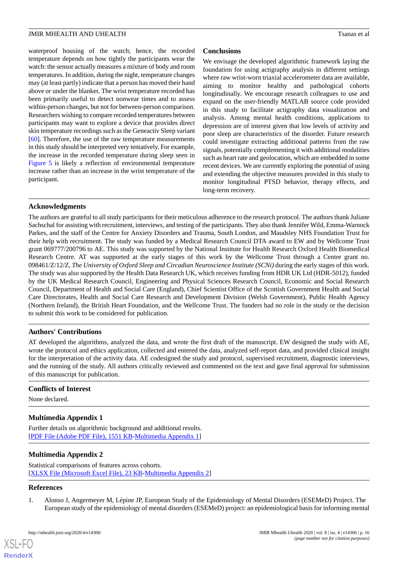waterproof housing of the watch; hence, the recorded temperature depends on how tightly the participants wear the watch: the sensor actually measures a mixture of body and room temperatures. In addition, during the night, temperature changes may (at least partly) indicate that a person has moved their hand above or under the blanket. The wrist temperature recorded has been primarily useful to detect nonwear times and to assess within-person changes, but not for between-person comparison. Researchers wishing to compare recorded temperatures between participants may want to explore a device that provides direct skin temperature recordings such as the Geneactiv Sleep variant [[60\]](#page-18-15). Therefore, the use of the raw temperature measurements in this study should be interpreted very tentatively. For example, the increase in the recorded temperature during sleep seen in [Figure 5](#page-10-1) is likely a reflection of environmental temperature increase rather than an increase in the wrist temperature of the participant.

## **Conclusions**

We envisage the developed algorithmic framework laying the foundation for using actigraphy analysis in different settings where raw wrist-worn triaxial accelerometer data are available, aiming to monitor healthy and pathological cohorts longitudinally. We encourage research colleagues to use and expand on the user-friendly MATLAB source code provided in this study to facilitate actigraphy data visualization and analysis. Among mental health conditions, applications to depression are of interest given that low levels of activity and poor sleep are characteristics of the disorder. Future research could investigate extracting additional patterns from the raw signals, potentially complementing it with additional modalities such as heart rate and geolocation, which are embedded in some recent devices. We are currently exploring the potential of using and extending the objective measures provided in this study to monitor longitudinal PTSD behavior, therapy effects, and long-term recovery.

## **Acknowledgments**

The authors are grateful to all study participants for their meticulous adherence to the research protocol. The authors thank Juliane Sachschal for assisting with recruitment, interviews, and testing of the participants. They also thank Jennifer Wild, Emma-Warnock Parkes, and the staff of the Centre for Anxiety Disorders and Trauma, South London, and Maudsley NHS Foundation Trust for their help with recruitment. The study was funded by a Medical Research Council DTA award to EW and by Wellcome Trust grant 069777/200796 to AE. This study was supported by the National Institute for Health Research Oxford Health Biomedical Research Centre. AT was supported at the early stages of this work by the Wellcome Trust through a Centre grant no. 098461/Z/12/Z, *The University of Oxford Sleep and Circadian Neuroscience Institute (SCNi)* during the early stages of this work. The study was also supported by the Health Data Research UK, which receives funding from HDR UK Ltd (HDR-5012), funded by the UK Medical Research Council, Engineering and Physical Sciences Research Council, Economic and Social Research Council, Department of Health and Social Care (England), Chief Scientist Office of the Scottish Government Health and Social Care Directorates, Health and Social Care Research and Development Division (Welsh Government), Public Health Agency (Northern Ireland), the British Heart Foundation, and the Wellcome Trust. The funders had no role in the study or the decision to submit this work to be considered for publication.

## **Authors' Contributions**

AT developed the algorithms, analyzed the data, and wrote the first draft of the manuscript. EW designed the study with AE, wrote the protocol and ethics application, collected and entered the data, analyzed self-report data, and provided clinical insight for the interpretation of the activity data. AE codesigned the study and protocol, supervised recruitment, diagnostic interviews, and the running of the study. All authors critically reviewed and commented on the text and gave final approval for submission of this manuscript for publication.

#### <span id="page-15-1"></span>**Conflicts of Interest**

None declared.

## <span id="page-15-2"></span>**Multimedia Appendix 1**

Further details on algorithmic background and additional results. [[PDF File \(Adobe PDF File\), 1551 KB](https://jmir.org/api/download?alt_name=mhealth_v8i4e14306_app1.pdf&filename=e9403a0abfe6a4911208019140543618.pdf)-[Multimedia Appendix 1\]](https://jmir.org/api/download?alt_name=mhealth_v8i4e14306_app1.pdf&filename=e9403a0abfe6a4911208019140543618.pdf)

#### <span id="page-15-0"></span>**Multimedia Appendix 2**

Statistical comparisons of features across cohorts. [[XLSX File \(Microsoft Excel File\), 23 KB](https://jmir.org/api/download?alt_name=mhealth_v8i4e14306_app2.xlsx&filename=2ac3b6c27f500d03436af485eabb4d6d.xlsx)-[Multimedia Appendix 2\]](https://jmir.org/api/download?alt_name=mhealth_v8i4e14306_app2.xlsx&filename=2ac3b6c27f500d03436af485eabb4d6d.xlsx)

## **References**

 $XS$  $\cdot$ FC **[RenderX](http://www.renderx.com/)**

1. Alonso J, Angermeyer M, Lépine JP, European Study of the Epidemiology of Mental Disorders (ESEMeD) Project. The European study of the epidemiology of mental disorders (ESEMeD) project: an epidemiological basis for informing mental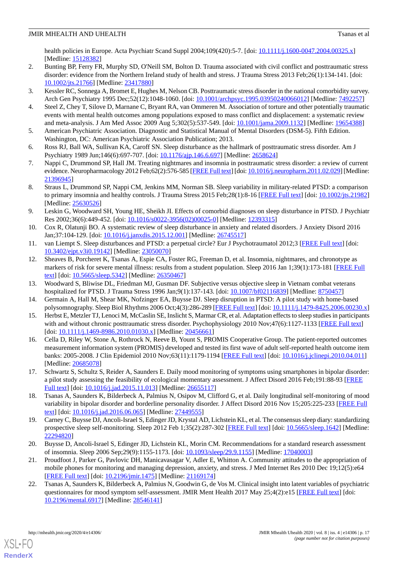health policies in Europe. Acta Psychiatr Scand Suppl 2004;109(420):5-7. [doi: [10.1111/j.1600-0047.2004.00325.x](http://dx.doi.org/10.1111/j.1600-0047.2004.00325.x)] [Medline: [15128382](http://www.ncbi.nlm.nih.gov/entrez/query.fcgi?cmd=Retrieve&db=PubMed&list_uids=15128382&dopt=Abstract)]

- <span id="page-16-0"></span>2. Bunting BP, Ferry FR, Murphy SD, O'Neill SM, Bolton D. Trauma associated with civil conflict and posttraumatic stress disorder: evidence from the Northern Ireland study of health and stress. J Trauma Stress 2013 Feb;26(1):134-141. [doi: [10.1002/jts.21766\]](http://dx.doi.org/10.1002/jts.21766) [Medline: [23417880](http://www.ncbi.nlm.nih.gov/entrez/query.fcgi?cmd=Retrieve&db=PubMed&list_uids=23417880&dopt=Abstract)]
- <span id="page-16-2"></span><span id="page-16-1"></span>3. Kessler RC, Sonnega A, Bromet E, Hughes M, Nelson CB. Posttraumatic stress disorder in the national comorbidity survey. Arch Gen Psychiatry 1995 Dec;52(12):1048-1060. [doi: [10.1001/archpsyc.1995.03950240066012](http://dx.doi.org/10.1001/archpsyc.1995.03950240066012)] [Medline: [7492257](http://www.ncbi.nlm.nih.gov/entrez/query.fcgi?cmd=Retrieve&db=PubMed&list_uids=7492257&dopt=Abstract)]
- <span id="page-16-3"></span>4. Steel Z, Chey T, Silove D, Marnane C, Bryant RA, van Ommeren M. Association of torture and other potentially traumatic events with mental health outcomes among populations exposed to mass conflict and displacement: a systematic review and meta-analysis. J Am Med Assoc 2009 Aug 5;302(5):537-549. [doi: [10.1001/jama.2009.1132\]](http://dx.doi.org/10.1001/jama.2009.1132) [Medline: [19654388\]](http://www.ncbi.nlm.nih.gov/entrez/query.fcgi?cmd=Retrieve&db=PubMed&list_uids=19654388&dopt=Abstract)
- <span id="page-16-4"></span>5. American Psychiatric Association. Diagnostic and Statistical Manual of Mental Disorders (DSM-5). Fifth Edition. Washington, DC: American Psychiatric Association Publication; 2013.
- <span id="page-16-5"></span>6. Ross RJ, Ball WA, Sullivan KA, Caroff SN. Sleep disturbance as the hallmark of posttraumatic stress disorder. Am J Psychiatry 1989 Jun;146(6):697-707. [doi: [10.1176/ajp.146.6.697\]](http://dx.doi.org/10.1176/ajp.146.6.697) [Medline: [2658624](http://www.ncbi.nlm.nih.gov/entrez/query.fcgi?cmd=Retrieve&db=PubMed&list_uids=2658624&dopt=Abstract)]
- <span id="page-16-6"></span>7. Nappi C, Drummond SP, Hall JM. Treating nightmares and insomnia in posttraumatic stress disorder: a review of current evidence. Neuropharmacology 2012 Feb;62(2):576-585 [[FREE Full text\]](http://europepmc.org/abstract/MED/21396945) [doi: [10.1016/j.neuropharm.2011.02.029](http://dx.doi.org/10.1016/j.neuropharm.2011.02.029)] [Medline: [21396945](http://www.ncbi.nlm.nih.gov/entrez/query.fcgi?cmd=Retrieve&db=PubMed&list_uids=21396945&dopt=Abstract)]
- <span id="page-16-7"></span>8. Straus L, Drummond SP, Nappi CM, Jenkins MM, Norman SB. Sleep variability in military-related PTSD: a comparison to primary insomnia and healthy controls. J Trauma Stress 2015 Feb;28(1):8-16 [[FREE Full text](http://europepmc.org/abstract/MED/25630526)] [doi: [10.1002/jts.21982](http://dx.doi.org/10.1002/jts.21982)] [Medline: [25630526](http://www.ncbi.nlm.nih.gov/entrez/query.fcgi?cmd=Retrieve&db=PubMed&list_uids=25630526&dopt=Abstract)]
- <span id="page-16-8"></span>9. Leskin G, Woodward SH, Young HE, Sheikh JI. Effects of comorbid diagnoses on sleep disturbance in PTSD. J Psychiatr Res 2002;36(6):449-452. [doi: [10.1016/s0022-3956\(02\)00025-0\]](http://dx.doi.org/10.1016/s0022-3956(02)00025-0) [Medline: [12393315](http://www.ncbi.nlm.nih.gov/entrez/query.fcgi?cmd=Retrieve&db=PubMed&list_uids=12393315&dopt=Abstract)]
- <span id="page-16-10"></span><span id="page-16-9"></span>10. Cox R, Olatunji BO. A systematic review of sleep disturbance in anxiety and related disorders. J Anxiety Disord 2016 Jan;37:104-129. [doi: [10.1016/j.janxdis.2015.12.001](http://dx.doi.org/10.1016/j.janxdis.2015.12.001)] [Medline: [26745517\]](http://www.ncbi.nlm.nih.gov/entrez/query.fcgi?cmd=Retrieve&db=PubMed&list_uids=26745517&dopt=Abstract)
- 11. van Liempt S. Sleep disturbances and PTSD: a perpetual circle? Eur J Psychotraumatol 2012;3 [[FREE Full text\]](http://europepmc.org/abstract/MED/23050070) [doi: [10.3402/ejpt.v3i0.19142\]](http://dx.doi.org/10.3402/ejpt.v3i0.19142) [Medline: [23050070](http://www.ncbi.nlm.nih.gov/entrez/query.fcgi?cmd=Retrieve&db=PubMed&list_uids=23050070&dopt=Abstract)]
- <span id="page-16-12"></span><span id="page-16-11"></span>12. Sheaves B, Porcheret K, Tsanas A, Espie CA, Foster RG, Freeman D, et al. Insomnia, nightmares, and chronotype as markers of risk for severe mental illness: results from a student population. Sleep 2016 Jan 1:39(1):173-181 [[FREE Full](http://europepmc.org/abstract/MED/26350467) [text](http://europepmc.org/abstract/MED/26350467)] [doi: [10.5665/sleep.5342\]](http://dx.doi.org/10.5665/sleep.5342) [Medline: [26350467\]](http://www.ncbi.nlm.nih.gov/entrez/query.fcgi?cmd=Retrieve&db=PubMed&list_uids=26350467&dopt=Abstract)
- <span id="page-16-13"></span>13. Woodward S, Bliwise DL, Friedman MJ, Gusman DF. Subjective versus objective sleep in Vietnam combat veterans hospitalized for PTSD. J Trauma Stress 1996 Jan;9(1):137-143. [doi: [10.1007/bf02116839](http://dx.doi.org/10.1007/bf02116839)] [Medline: [8750457](http://www.ncbi.nlm.nih.gov/entrez/query.fcgi?cmd=Retrieve&db=PubMed&list_uids=8750457&dopt=Abstract)]
- <span id="page-16-14"></span>14. Germain A, Hall M, Shear MK, Nofzinger EA, Buysse DJ. Sleep disruption in PTSD: A pilot study with home-based polysomnography. Sleep Biol Rhythms 2006 Oct;4(3):286-289 [[FREE Full text\]](http://doi.org/10.1111/j.1479-8425.2006.00230.x)) [doi: [10.1111/j.1479-8425.2006.00230.x](http://dx.doi.org/10.1111/j.1479-8425.2006.00230.x)]
- 15. Herbst E, Metzler TJ, Lenoci M, McCaslin SE, Inslicht S, Marmar CR, et al. Adaptation effects to sleep studies in participants with and without chronic posttraumatic stress disorder. Psychophysiology 2010 Nov;47(6):1127-1133 [[FREE Full text](http://europepmc.org/abstract/MED/20456661)] [doi: [10.1111/j.1469-8986.2010.01030.x](http://dx.doi.org/10.1111/j.1469-8986.2010.01030.x)] [Medline: [20456661](http://www.ncbi.nlm.nih.gov/entrez/query.fcgi?cmd=Retrieve&db=PubMed&list_uids=20456661&dopt=Abstract)]
- 16. Cella D, Riley W, Stone A, Rothrock N, Reeve B, Yount S, PROMIS Cooperative Group. The patient-reported outcomes measurement information system (PROMIS) developed and tested its first wave of adult self-reported health outcome item banks: 2005-2008. J Clin Epidemiol 2010 Nov;63(11):1179-1194 [[FREE Full text](http://europepmc.org/abstract/MED/20685078)] [doi: [10.1016/j.jclinepi.2010.04.011](http://dx.doi.org/10.1016/j.jclinepi.2010.04.011)] [Medline: [20685078](http://www.ncbi.nlm.nih.gov/entrez/query.fcgi?cmd=Retrieve&db=PubMed&list_uids=20685078&dopt=Abstract)]
- <span id="page-16-16"></span><span id="page-16-15"></span>17. Schwartz S, Schultz S, Reider A, Saunders E. Daily mood monitoring of symptoms using smartphones in bipolar disorder: a pilot study assessing the feasibility of ecological momentary assessment. J Affect Disord 2016 Feb;191:88-93 [\[FREE](http://europepmc.org/abstract/MED/26655117) [Full text\]](http://europepmc.org/abstract/MED/26655117) [doi: [10.1016/j.jad.2015.11.013](http://dx.doi.org/10.1016/j.jad.2015.11.013)] [Medline: [26655117](http://www.ncbi.nlm.nih.gov/entrez/query.fcgi?cmd=Retrieve&db=PubMed&list_uids=26655117&dopt=Abstract)]
- <span id="page-16-17"></span>18. Tsanas A, Saunders K, Bilderbeck A, Palmius N, Osipov M, Clifford G, et al. Daily longitudinal self-monitoring of mood variability in bipolar disorder and borderline personality disorder. J Affect Disord 2016 Nov 15;205:225-233 [[FREE Full](https://linkinghub.elsevier.com/retrieve/pii/S0165-0327(16)30781-9) [text](https://linkinghub.elsevier.com/retrieve/pii/S0165-0327(16)30781-9)] [doi: [10.1016/j.jad.2016.06.065\]](http://dx.doi.org/10.1016/j.jad.2016.06.065) [Medline: [27449555\]](http://www.ncbi.nlm.nih.gov/entrez/query.fcgi?cmd=Retrieve&db=PubMed&list_uids=27449555&dopt=Abstract)
- <span id="page-16-18"></span>19. Carney C, Buysse DJ, Ancoli-Israel S, Edinger JD, Krystal AD, Lichstein KL, et al. The consensus sleep diary: standardizing prospective sleep self-monitoring. Sleep 2012 Feb 1;35(2):287-302 [\[FREE Full text\]](http://europepmc.org/abstract/MED/22294820) [doi: [10.5665/sleep.1642](http://dx.doi.org/10.5665/sleep.1642)] [Medline: [22294820](http://www.ncbi.nlm.nih.gov/entrez/query.fcgi?cmd=Retrieve&db=PubMed&list_uids=22294820&dopt=Abstract)]
- <span id="page-16-19"></span>20. Buysse D, Ancoli-Israel S, Edinger JD, Lichstein KL, Morin CM. Recommendations for a standard research assessment of insomnia. Sleep 2006 Sep;29(9):1155-1173. [doi: [10.1093/sleep/29.9.1155\]](http://dx.doi.org/10.1093/sleep/29.9.1155) [Medline: [17040003\]](http://www.ncbi.nlm.nih.gov/entrez/query.fcgi?cmd=Retrieve&db=PubMed&list_uids=17040003&dopt=Abstract)
- 21. Proudfoot J, Parker G, Pavlovic DH, Manicavasagar V, Adler E, Whitton A. Community attitudes to the appropriation of mobile phones for monitoring and managing depression, anxiety, and stress. J Med Internet Res 2010 Dec 19;12(5):e64 [[FREE Full text](https://www.jmir.org/2010/5/e64/)] [doi: [10.2196/jmir.1475](http://dx.doi.org/10.2196/jmir.1475)] [Medline: [21169174](http://www.ncbi.nlm.nih.gov/entrez/query.fcgi?cmd=Retrieve&db=PubMed&list_uids=21169174&dopt=Abstract)]
- 22. Tsanas A, Saunders K, Bilderbeck A, Palmius N, Goodwin G, de Vos M. Clinical insight into latent variables of psychiatric questionnaires for mood symptom self-assessment. JMIR Ment Health 2017 May 25;4(2):e15 [\[FREE Full text\]](https://mental.jmir.org/2017/2/e15/) [doi: [10.2196/mental.6917\]](http://dx.doi.org/10.2196/mental.6917) [Medline: [28546141](http://www.ncbi.nlm.nih.gov/entrez/query.fcgi?cmd=Retrieve&db=PubMed&list_uids=28546141&dopt=Abstract)]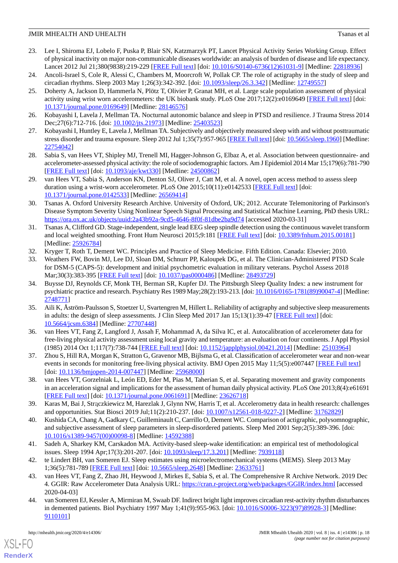- <span id="page-17-0"></span>23. Lee I, Shiroma EJ, Lobelo F, Puska P, Blair SN, Katzmarzyk PT, Lancet Physical Activity Series Working Group. Effect of physical inactivity on major non-communicable diseases worldwide: an analysis of burden of disease and life expectancy. Lancet 2012 Jul 21;380(9838):219-229 [\[FREE Full text\]](http://europepmc.org/abstract/MED/22818936) [doi: [10.1016/S0140-6736\(12\)61031-9](http://dx.doi.org/10.1016/S0140-6736(12)61031-9)] [Medline: [22818936\]](http://www.ncbi.nlm.nih.gov/entrez/query.fcgi?cmd=Retrieve&db=PubMed&list_uids=22818936&dopt=Abstract)
- <span id="page-17-2"></span><span id="page-17-1"></span>24. Ancoli-Israel S, Cole R, Alessi C, Chambers M, Moorcroft W, Pollak CP. The role of actigraphy in the study of sleep and circadian rhythms. Sleep 2003 May 1;26(3):342-392. [doi: [10.1093/sleep/26.3.342](http://dx.doi.org/10.1093/sleep/26.3.342)] [Medline: [12749557\]](http://www.ncbi.nlm.nih.gov/entrez/query.fcgi?cmd=Retrieve&db=PubMed&list_uids=12749557&dopt=Abstract)
- 25. Doherty A, Jackson D, Hammerla N, Plötz T, Olivier P, Granat MH, et al. Large scale population assessment of physical activity using wrist worn accelerometers: the UK biobank study. PLoS One 2017;12(2):e0169649 [\[FREE Full text\]](http://dx.plos.org/10.1371/journal.pone.0169649) [doi: [10.1371/journal.pone.0169649\]](http://dx.doi.org/10.1371/journal.pone.0169649) [Medline: [28146576](http://www.ncbi.nlm.nih.gov/entrez/query.fcgi?cmd=Retrieve&db=PubMed&list_uids=28146576&dopt=Abstract)]
- <span id="page-17-4"></span><span id="page-17-3"></span>26. Kobayashi I, Lavela J, Mellman TA. Nocturnal autonomic balance and sleep in PTSD and resilience. J Trauma Stress 2014 Dec; 27(6): 712-716. [doi: 10.1002/jts. 21973] [Medline: [25403523\]](http://www.ncbi.nlm.nih.gov/entrez/query.fcgi?cmd=Retrieve&db=PubMed&list_uids=25403523&dopt=Abstract)
- <span id="page-17-5"></span>27. Kobayashi I, Huntley E, Lavela J, Mellman TA. Subjectively and objectively measured sleep with and without posttraumatic stress disorder and trauma exposure. Sleep 2012 Jul 1;35(7):957-965 [[FREE Full text](http://europepmc.org/abstract/MED/22754042)] [doi: [10.5665/sleep.1960\]](http://dx.doi.org/10.5665/sleep.1960) [Medline: [22754042](http://www.ncbi.nlm.nih.gov/entrez/query.fcgi?cmd=Retrieve&db=PubMed&list_uids=22754042&dopt=Abstract)]
- <span id="page-17-6"></span>28. Sabia S, van Hees VT, Shipley MJ, Trenell MI, Hagger-Johnson G, Elbaz A, et al. Association between questionnaire- and accelerometer-assessed physical activity: the role of sociodemographic factors. Am J Epidemiol 2014 Mar 15;179(6):781-790 [[FREE Full text](http://europepmc.org/abstract/MED/24500862)] [doi: [10.1093/aje/kwt330](http://dx.doi.org/10.1093/aje/kwt330)] [Medline: [24500862\]](http://www.ncbi.nlm.nih.gov/entrez/query.fcgi?cmd=Retrieve&db=PubMed&list_uids=24500862&dopt=Abstract)
- <span id="page-17-7"></span>29. van Hees VT, Sabia S, Anderson KN, Denton SJ, Oliver J, Catt M, et al. A novel, open access method to assess sleep duration using a wrist-worn accelerometer. PLoS One 2015;10(11):e0142533 [[FREE Full text](http://dx.plos.org/10.1371/journal.pone.0142533)] [doi: [10.1371/journal.pone.0142533\]](http://dx.doi.org/10.1371/journal.pone.0142533) [Medline: [26569414](http://www.ncbi.nlm.nih.gov/entrez/query.fcgi?cmd=Retrieve&db=PubMed&list_uids=26569414&dopt=Abstract)]
- 30. Tsanas A. Oxford University Research Archive. University of Oxford, UK; 2012. Accurate Telemonitoring of Parkinson's Disease Symptom Severity Using Nonlinear Speech Signal Processing and Statistical Machine Learning, PhD thesis URL: <https://ora.ox.ac.uk/objects/uuid:2a43b92a-9cd5-4646-8f0f-81dbe2ba9d74> [accessed 2020-03-31]
- <span id="page-17-9"></span><span id="page-17-8"></span>31. Tsanas A, Clifford GD. Stage-independent, single lead EEG sleep spindle detection using the continuous wavelet transform and local weighted smoothing. Front Hum Neurosci 2015;9:181 [\[FREE Full text\]](https://doi.org/10.3389/fnhum.2015.00181) [doi: [10.3389/fnhum.2015.00181\]](http://dx.doi.org/10.3389/fnhum.2015.00181) [Medline: [25926784](http://www.ncbi.nlm.nih.gov/entrez/query.fcgi?cmd=Retrieve&db=PubMed&list_uids=25926784&dopt=Abstract)]
- 32. Kryger T, Roth T, Dement WC. Principles and Practice of Sleep Medicine. Fifth Edition. Canada: Elsevier; 2010.
- <span id="page-17-10"></span>33. Weathers FW, Bovin MJ, Lee DJ, Sloan DM, Schnurr PP, Kaloupek DG, et al. The Clinician-Administered PTSD Scale for DSM-5 (CAPS-5): development and initial psychometric evaluation in military veterans. Psychol Assess 2018 Mar;30(3):383-395 [[FREE Full text\]](http://europepmc.org/abstract/MED/28493729) [doi: [10.1037/pas0000486\]](http://dx.doi.org/10.1037/pas0000486) [Medline: [28493729\]](http://www.ncbi.nlm.nih.gov/entrez/query.fcgi?cmd=Retrieve&db=PubMed&list_uids=28493729&dopt=Abstract)
- <span id="page-17-11"></span>34. Buysse DJ, Reynolds CF, Monk TH, Berman SR, Kupfer DJ. The Pittsburgh Sleep Quality Index: a new instrument for psychiatric practice and research. Psychiatry Res 1989 May;28(2):193-213. [doi: [10.1016/0165-1781\(89\)90047-4\]](http://dx.doi.org/10.1016/0165-1781(89)90047-4) [Medline: [2748771\]](http://www.ncbi.nlm.nih.gov/entrez/query.fcgi?cmd=Retrieve&db=PubMed&list_uids=2748771&dopt=Abstract)
- <span id="page-17-12"></span>35. Aili K, Åström-Paulsson S, Stoetzer U, Svartengren M, Hillert L. Reliability of actigraphy and subjective sleep measurements in adults: the design of sleep assessments. J Clin Sleep Med 2017 Jan 15;13(1):39-47 [[FREE Full text](https://doi.org/10.5664/jcsm.6384)] [doi: [10.5664/jcsm.6384](http://dx.doi.org/10.5664/jcsm.6384)] [Medline: [27707448\]](http://www.ncbi.nlm.nih.gov/entrez/query.fcgi?cmd=Retrieve&db=PubMed&list_uids=27707448&dopt=Abstract)
- <span id="page-17-14"></span><span id="page-17-13"></span>36. van Hees VT, Fang Z, Langford J, Assah F, Mohammad A, da Silva IC, et al. Autocalibration of accelerometer data for free-living physical activity assessment using local gravity and temperature: an evaluation on four continents. J Appl Physiol (1985) 2014 Oct 1;117(7):738-744 [[FREE Full text\]](http://journals.physiology.org/doi/full/10.1152/japplphysiol.00421.2014?url_ver=Z39.88-2003&rfr_id=ori:rid:crossref.org&rfr_dat=cr_pub%3dpubmed) [doi: [10.1152/japplphysiol.00421.2014\]](http://dx.doi.org/10.1152/japplphysiol.00421.2014) [Medline: [25103964\]](http://www.ncbi.nlm.nih.gov/entrez/query.fcgi?cmd=Retrieve&db=PubMed&list_uids=25103964&dopt=Abstract)
- <span id="page-17-15"></span>37. Zhou S, Hill RA, Morgan K, Stratton G, Gravenor MB, Bijlsma G, et al. Classification of accelerometer wear and non-wear events in seconds for monitoring free-living physical activity. BMJ Open 2015 May 11;5(5):e007447 [[FREE Full text](http://bmjopen.bmj.com/cgi/pmidlookup?view=long&pmid=25968000)] [doi: [10.1136/bmjopen-2014-007447\]](http://dx.doi.org/10.1136/bmjopen-2014-007447) [Medline: [25968000\]](http://www.ncbi.nlm.nih.gov/entrez/query.fcgi?cmd=Retrieve&db=PubMed&list_uids=25968000&dopt=Abstract)
- <span id="page-17-16"></span>38. van Hees VT, Gorzelniak L, León ED, Eder M, Pias M, Taherian S, et al. Separating movement and gravity components in an acceleration signal and implications for the assessment of human daily physical activity. PLoS One 2013;8(4):e61691 [[FREE Full text](http://dx.plos.org/10.1371/journal.pone.0061691)] [doi: [10.1371/journal.pone.0061691](http://dx.doi.org/10.1371/journal.pone.0061691)] [Medline: [23626718](http://www.ncbi.nlm.nih.gov/entrez/query.fcgi?cmd=Retrieve&db=PubMed&list_uids=23626718&dopt=Abstract)]
- <span id="page-17-17"></span>39. Karas M, Bai J, Strączkiewicz M, Harezlak J, Glynn NW, Harris T, et al. Accelerometry data in health research: challenges and opportunities. Stat Biosci 2019 Jul;11(2):210-237. [doi: [10.1007/s12561-018-9227-2\]](http://dx.doi.org/10.1007/s12561-018-9227-2) [Medline: [31762829](http://www.ncbi.nlm.nih.gov/entrez/query.fcgi?cmd=Retrieve&db=PubMed&list_uids=31762829&dopt=Abstract)]
- <span id="page-17-19"></span><span id="page-17-18"></span>40. Kushida CA, Chang A, Gadkary C, Guilleminault C, Carrillo O, Dement WC. Comparison of actigraphic, polysomnographic, and subjective assessment of sleep parameters in sleep-disordered patients. Sleep Med 2001 Sep;2(5):389-396. [doi: [10.1016/s1389-9457\(00\)00098-8](http://dx.doi.org/10.1016/s1389-9457(00)00098-8)] [Medline: [14592388\]](http://www.ncbi.nlm.nih.gov/entrez/query.fcgi?cmd=Retrieve&db=PubMed&list_uids=14592388&dopt=Abstract)
- <span id="page-17-20"></span>41. Sadeh A, Sharkey KM, Carskadon MA. Activity-based sleep-wake identification: an empirical test of methodological issues. Sleep 1994 Apr;17(3):201-207. [doi: [10.1093/sleep/17.3.201\]](http://dx.doi.org/10.1093/sleep/17.3.201) [Medline: [7939118\]](http://www.ncbi.nlm.nih.gov/entrez/query.fcgi?cmd=Retrieve&db=PubMed&list_uids=7939118&dopt=Abstract)
- 42. te Lindert BH, van Someren EJ. Sleep estimates using microelectromechanical systems (MEMS). Sleep 2013 May 1;36(5):781-789 [[FREE Full text](http://europepmc.org/abstract/MED/23633761)] [doi: [10.5665/sleep.2648\]](http://dx.doi.org/10.5665/sleep.2648) [Medline: [23633761\]](http://www.ncbi.nlm.nih.gov/entrez/query.fcgi?cmd=Retrieve&db=PubMed&list_uids=23633761&dopt=Abstract)
- 43. van Hees VT, Fang Z, Zhao JH, Heywood J, Mirkes E, Sabia S, et al. The Comprehensive R Archive Network. 2019 Dec 4. GGIR: Raw Accelerometer Data Analysis URL:<https://cran.r-project.org/web/packages/GGIR/index.html> [accessed 2020-04-03]
- 44. van Someren EJ, Kessler A, Mirmiran M, Swaab DF. Indirect bright light improves circadian rest-activity rhythm disturbances in demented patients. Biol Psychiatry 1997 May 1;41(9):955-963. [doi: [10.1016/S0006-3223\(97\)89928-3](http://dx.doi.org/10.1016/S0006-3223(97)89928-3)] [Medline: [9110101\]](http://www.ncbi.nlm.nih.gov/entrez/query.fcgi?cmd=Retrieve&db=PubMed&list_uids=9110101&dopt=Abstract)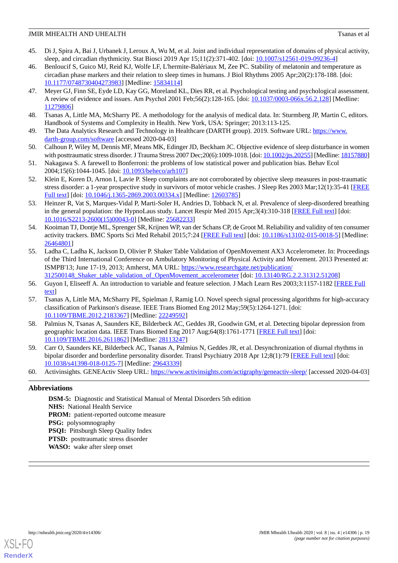- <span id="page-18-0"></span>45. Di J, Spira A, Bai J, Urbanek J, Leroux A, Wu M, et al. Joint and individual representation of domains of physical activity, sleep, and circadian rhythmicity. Stat Biosci 2019 Apr 15;11(2):371-402. [doi: [10.1007/s12561-019-09236-4\]](http://dx.doi.org/10.1007/s12561-019-09236-4)
- <span id="page-18-1"></span>46. Benloucif S, Guico MJ, Reid KJ, Wolfe LF, L'hermite-Balériaux M, Zee PC. Stability of melatonin and temperature as circadian phase markers and their relation to sleep times in humans. J Biol Rhythms 2005 Apr;20(2):178-188. [doi: [10.1177/0748730404273983\]](http://dx.doi.org/10.1177/0748730404273983) [Medline: [15834114\]](http://www.ncbi.nlm.nih.gov/entrez/query.fcgi?cmd=Retrieve&db=PubMed&list_uids=15834114&dopt=Abstract)
- <span id="page-18-2"></span>47. Meyer GJ, Finn SE, Eyde LD, Kay GG, Moreland KL, Dies RR, et al. Psychological testing and psychological assessment. A review of evidence and issues. Am Psychol 2001 Feb;56(2):128-165. [doi: [10.1037/0003-066x.56.2.128](http://dx.doi.org/10.1037/0003-066x.56.2.128)] [Medline: [11279806](http://www.ncbi.nlm.nih.gov/entrez/query.fcgi?cmd=Retrieve&db=PubMed&list_uids=11279806&dopt=Abstract)]
- <span id="page-18-4"></span><span id="page-18-3"></span>48. Tsanas A, Little MA, McSharry PE. A methodology for the analysis of medical data. In: Sturmberg JP, Martin C, editors. Handbook of Systems and Complexity in Health. New York, USA: Springer; 2013:113-125.
- <span id="page-18-5"></span>49. The Data Analytics Research and Technology in Healthcare (DARTH group). 2019. Software URL: [https://www.](https://www.darth-group.com/software) [darth-group.com/software](https://www.darth-group.com/software) [accessed 2020-04-03]
- <span id="page-18-6"></span>50. Calhoun P, Wiley M, Dennis MF, Means MK, Edinger JD, Beckham JC. Objective evidence of sleep disturbance in women with posttraumatic stress disorder. J Trauma Stress 2007 Dec;20(6):1009-1018. [doi: [10.1002/jts.20255\]](http://dx.doi.org/10.1002/jts.20255) [Medline: [18157880\]](http://www.ncbi.nlm.nih.gov/entrez/query.fcgi?cmd=Retrieve&db=PubMed&list_uids=18157880&dopt=Abstract)
- <span id="page-18-7"></span>51. Nakagawa S. A farewell to Bonferroni: the problems of low statistical power and publication bias. Behav Ecol 2004;15(6):1044-1045. [doi: [10.1093/beheco/arh107\]](http://dx.doi.org/10.1093/beheco/arh107)
- <span id="page-18-8"></span>52. Klein E, Koren D, Arnon I, Lavie P. Sleep complaints are not corroborated by objective sleep measures in post-traumatic stress disorder: a 1-year prospective study in survivors of motor vehicle crashes. J Sleep Res 2003 Mar;12(1):35-41 [\[FREE](https://onlinelibrary.wiley.com/resolve/openurl?genre=article&sid=nlm:pubmed&issn=0962-1105&date=2003&volume=12&issue=1&spage=35) [Full text\]](https://onlinelibrary.wiley.com/resolve/openurl?genre=article&sid=nlm:pubmed&issn=0962-1105&date=2003&volume=12&issue=1&spage=35) [doi: [10.1046/j.1365-2869.2003.00334.x\]](http://dx.doi.org/10.1046/j.1365-2869.2003.00334.x) [Medline: [12603785](http://www.ncbi.nlm.nih.gov/entrez/query.fcgi?cmd=Retrieve&db=PubMed&list_uids=12603785&dopt=Abstract)]
- <span id="page-18-9"></span>53. Heinzer R, Vat S, Marques-Vidal P, Marti-Soler H, Andries D, Tobback N, et al. Prevalence of sleep-disordered breathing in the general population: the HypnoLaus study. Lancet Respir Med 2015 Apr;3(4):310-318 [[FREE Full text](http://europepmc.org/abstract/MED/25682233)] [doi: [10.1016/S2213-2600\(15\)00043-0\]](http://dx.doi.org/10.1016/S2213-2600(15)00043-0) [Medline: [25682233](http://www.ncbi.nlm.nih.gov/entrez/query.fcgi?cmd=Retrieve&db=PubMed&list_uids=25682233&dopt=Abstract)]
- <span id="page-18-10"></span>54. Kooiman TJ, Dontje ML, Sprenger SR, Krijnen WP, van der Schans CP, de Groot M. Reliability and validity of ten consumer activity trackers. BMC Sports Sci Med Rehabil 2015;7:24 [\[FREE Full text\]](https://bmcsportsscimedrehabil.biomedcentral.com/articles/10.1186/s13102-015-0018-5) [doi: [10.1186/s13102-015-0018-5](http://dx.doi.org/10.1186/s13102-015-0018-5)] [Medline: [26464801](http://www.ncbi.nlm.nih.gov/entrez/query.fcgi?cmd=Retrieve&db=PubMed&list_uids=26464801&dopt=Abstract)]
- <span id="page-18-11"></span>55. Ladha C, Ladha K, Jackson D, Olivier P. Shaker Table Validation of OpenMovement AX3 Accelerometer. In: Proceedings of the Third International Conference on Ambulatory Monitoring of Physical Activity and Movement. 2013 Presented at: ISMPB'13; June 17-19, 2013; Amherst, MA URL: [https://www.researchgate.net/publication/](https://www.researchgate.net/publication/312500148_Shaker_table_validation_of_OpenMovement_accelerometer) [312500148\\_Shaker\\_table\\_validation\\_of\\_OpenMovement\\_accelerometer](https://www.researchgate.net/publication/312500148_Shaker_table_validation_of_OpenMovement_accelerometer) [doi: [10.13140/RG.2.2.31312.51208\]](http://dx.doi.org/10.13140/RG.2.2.31312.51208)
- <span id="page-18-12"></span>56. Guyon I, Eliseeff A. An introduction to variable and feature selection. J Mach Learn Res 2003;3:1157-1182 [\[FREE Full](http://www.jmlr.org/papers/volume3/guyon03a/guyon03a.pdf) [text](http://www.jmlr.org/papers/volume3/guyon03a/guyon03a.pdf)]
- <span id="page-18-13"></span>57. Tsanas A, Little MA, McSharry PE, Spielman J, Ramig LO. Novel speech signal processing algorithms for high-accuracy classification of Parkinson's disease. IEEE Trans Biomed Eng 2012 May;59(5):1264-1271. [doi: [10.1109/TBME.2012.2183367\]](http://dx.doi.org/10.1109/TBME.2012.2183367) [Medline: [22249592](http://www.ncbi.nlm.nih.gov/entrez/query.fcgi?cmd=Retrieve&db=PubMed&list_uids=22249592&dopt=Abstract)]
- <span id="page-18-15"></span><span id="page-18-14"></span>58. Palmius N, Tsanas A, Saunders KE, Bilderbeck AC, Geddes JR, Goodwin GM, et al. Detecting bipolar depression from geographic location data. IEEE Trans Biomed Eng 2017 Aug;64(8):1761-1771 [[FREE Full text](http://europepmc.org/abstract/MED/28113247)] [doi: [10.1109/TBME.2016.2611862\]](http://dx.doi.org/10.1109/TBME.2016.2611862) [Medline: [28113247](http://www.ncbi.nlm.nih.gov/entrez/query.fcgi?cmd=Retrieve&db=PubMed&list_uids=28113247&dopt=Abstract)]
- 59. Carr O, Saunders KE, Bilderbeck AC, Tsanas A, Palmius N, Geddes JR, et al. Desynchronization of diurnal rhythms in bipolar disorder and borderline personality disorder. Transl Psychiatry 2018 Apr 12;8(1):79 [\[FREE Full text\]](http://europepmc.org/abstract/MED/29643339) [doi: [10.1038/s41398-018-0125-7\]](http://dx.doi.org/10.1038/s41398-018-0125-7) [Medline: [29643339](http://www.ncbi.nlm.nih.gov/entrez/query.fcgi?cmd=Retrieve&db=PubMed&list_uids=29643339&dopt=Abstract)]
- 60. Activinsights. GENEActiv Sleep URL: <https://www.activinsights.com/actigraphy/geneactiv-sleep/> [accessed 2020-04-03]

## **Abbreviations**

**DSM-5:** Diagnostic and Statistical Manual of Mental Disorders 5th edition **NHS:** National Health Service **PROM:** patient-reported outcome measure **PSG:** polysomnography **PSQI:** Pittsburgh Sleep Quality Index **PTSD:** posttraumatic stress disorder **WASO:** wake after sleep onset